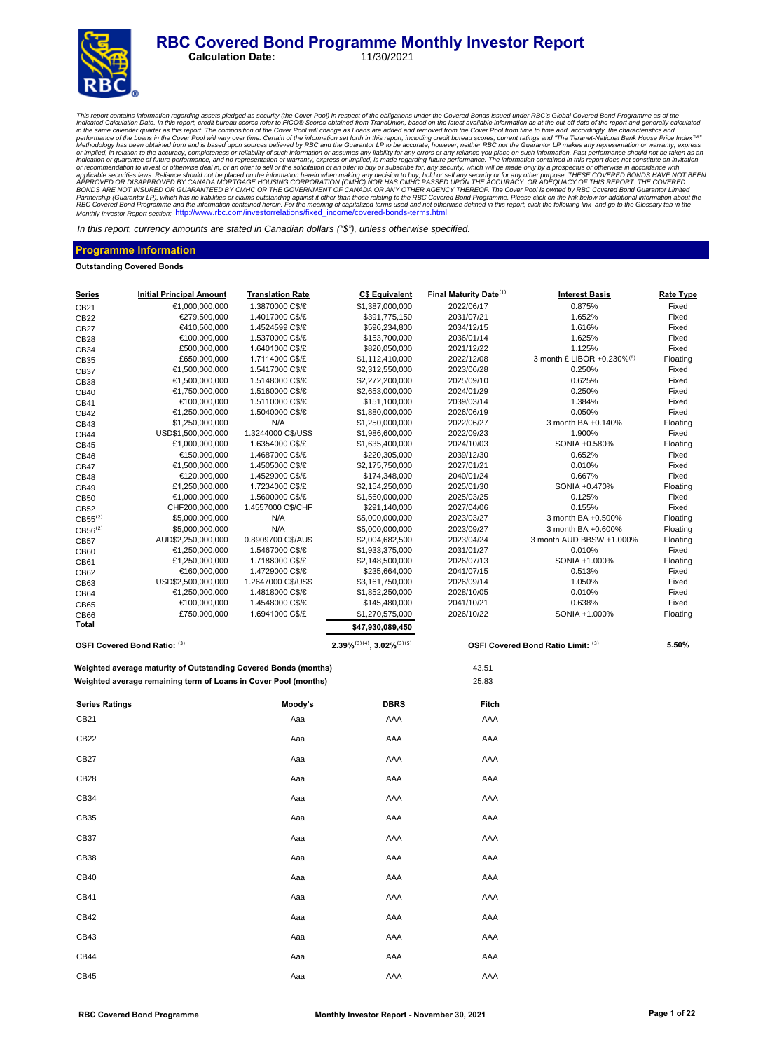#### **RBC Covered Bond Programme Monthly Investor Report**<br>Calculation Date: 11/30/2021 **Calculation Date:**



This report contains information regarding assets pledged as security (the Cover Pool) in respect of the obligations under the Covered Bond issued in of the Cover and the cut-off date of the report and generally calculated Partnership (Guarantor LP), which has no liabilities or claims outstanding against it other than those relating to the RBC Covered Bond Programme. Please click on the link below for additional information about the<br>RBC Cov

In this report, currency amounts are stated in Canadian dollars *("\$"),* unless otherwise specified.

#### **Programme Information**

#### **Outstanding Covered Bonds**

| <u>Series</u>         | <b>Initial Principal Amount</b>                                 | <b>Translation Rate</b> | <b>C\$ Equivalent</b>                 | Final Maturity Date <sup>(1)</sup> | <b>Interest Basis</b>              | <b>Rate Type</b> |
|-----------------------|-----------------------------------------------------------------|-------------------------|---------------------------------------|------------------------------------|------------------------------------|------------------|
| CB21                  | €1,000,000,000                                                  | 1.3870000 C\$/€         | \$1,387,000,000                       | 2022/06/17                         | 0.875%                             | Fixed            |
| CB22                  | €279,500,000                                                    | 1.4017000 C\$/€         | \$391,775,150                         | 2031/07/21                         | 1.652%                             | Fixed            |
| CB27                  | €410,500,000                                                    | 1.4524599 C\$/€         | \$596,234,800                         | 2034/12/15                         | 1.616%                             | Fixed            |
| CB28                  | €100,000,000                                                    | 1.5370000 C\$/€         | \$153,700,000                         | 2036/01/14                         | 1.625%                             | Fixed            |
| CB34                  | £500,000,000                                                    | 1.6401000 C\$/£         | \$820,050,000                         | 2021/12/22                         | 1.125%                             | Fixed            |
| CB35                  | £650,000,000                                                    | 1.7114000 C\$/£         | \$1,112,410,000                       | 2022/12/08                         | 3 month £ LIBOR +0.230%(6)         | Floating         |
| CB37                  | €1,500,000,000                                                  | 1.5417000 C\$/€         | \$2,312,550,000                       | 2023/06/28                         | 0.250%                             | Fixed            |
| CB38                  | €1,500,000,000                                                  | 1.5148000 C\$/€         | \$2,272,200,000                       | 2025/09/10                         | 0.625%                             | Fixed            |
| CB40                  | €1,750,000,000                                                  | 1.5160000 C\$/€         | \$2,653,000,000                       | 2024/01/29                         | 0.250%                             | Fixed            |
| CB41                  | €100,000,000                                                    | 1.5110000 C\$/€         | \$151,100,000                         | 2039/03/14                         | 1.384%                             | Fixed            |
| CB42                  | €1,250,000,000                                                  | 1.5040000 C\$/€         | \$1,880,000,000                       | 2026/06/19                         | 0.050%                             | Fixed            |
| CB43                  | \$1,250,000,000                                                 | N/A                     | \$1,250,000,000                       | 2022/06/27                         | 3 month BA +0.140%                 | Floating         |
| CB44                  | USD\$1,500,000,000                                              | 1.3244000 C\$/US\$      | \$1,986,600,000                       | 2022/09/23                         | 1.900%                             | Fixed            |
| CB45                  | £1,000,000,000                                                  | 1.6354000 C\$/£         | \$1,635,400,000                       | 2024/10/03                         | SONIA +0.580%                      | Floating         |
| CB46                  | €150,000,000                                                    | 1.4687000 C\$/€         | \$220,305,000                         | 2039/12/30                         | 0.652%                             | Fixed            |
| CB47                  | €1,500,000,000                                                  | 1.4505000 C\$/€         | \$2,175,750,000                       | 2027/01/21                         | 0.010%                             | Fixed            |
| CB48                  | €120,000,000                                                    | 1.4529000 C\$/€         | \$174,348,000                         | 2040/01/24                         | 0.667%                             | Fixed            |
| CB49                  | £1,250,000,000                                                  | 1.7234000 C\$/£         | \$2,154,250,000                       | 2025/01/30                         | SONIA +0.470%                      | Floating         |
| CB50                  | €1,000,000,000                                                  | 1.5600000 C\$/€         | \$1,560,000,000                       | 2025/03/25                         | 0.125%                             | Fixed            |
| CB52                  | CHF200,000,000                                                  | 1.4557000 C\$/CHF       | \$291,140,000                         | 2027/04/06                         | 0.155%                             | Fixed            |
| $CB55^{(2)}$          | \$5,000,000,000                                                 | N/A                     | \$5,000,000,000                       | 2023/03/27                         | 3 month BA +0.500%                 | Floating         |
| CB56 <sup>(2)</sup>   | \$5,000,000,000                                                 | N/A                     | \$5,000,000,000                       | 2023/09/27                         | 3 month BA +0.600%                 | Floating         |
| CB57                  | AUD\$2,250,000,000                                              | 0.8909700 C\$/AU\$      | \$2,004,682,500                       | 2023/04/24                         | 3 month AUD BBSW +1.000%           | Floating         |
| CB60                  | €1,250,000,000                                                  | 1.5467000 C\$/€         | \$1,933,375,000                       | 2031/01/27                         | 0.010%                             | Fixed            |
| CB61                  | £1,250,000,000                                                  | 1.7188000 C\$/£         | \$2,148,500,000                       | 2026/07/13                         | SONIA +1.000%                      | Floating         |
| CB62                  | €160,000,000                                                    | 1.4729000 C\$/€         | \$235,664,000                         | 2041/07/15                         | 0.513%                             | Fixed            |
| CB63                  | USD\$2,500,000,000                                              | 1.2647000 C\$/US\$      | \$3,161,750,000                       | 2026/09/14                         | 1.050%                             | Fixed            |
| CB64                  | €1,250,000,000                                                  | 1.4818000 C\$/€         | \$1,852,250,000                       | 2028/10/05                         | 0.010%                             | Fixed            |
| CB65                  | €100,000,000                                                    | 1.4548000 C\$/€         | \$145,480,000                         | 2041/10/21                         | 0.638%                             | Fixed            |
| CB66                  | £750,000,000                                                    | 1.6941000 C\$/£         | \$1,270,575,000                       | 2026/10/22                         | SONIA +1.000%                      | Floating         |
| Total                 |                                                                 |                         | \$47,930,089,450                      |                                    |                                    |                  |
|                       | OSFI Covered Bond Ratio: (3)                                    |                         | $2.39\%^{(3)(4)}$ , $3.02\%^{(3)(5)}$ |                                    | OSFI Covered Bond Ratio Limit: (3) | 5.50%            |
|                       | Weighted average maturity of Outstanding Covered Bonds (months) |                         |                                       | 43.51                              |                                    |                  |
|                       | Weighted average remaining term of Loans in Cover Pool (months) |                         |                                       | 25.83                              |                                    |                  |
| <b>Series Ratings</b> |                                                                 | <u>Moody's</u>          | <b>DBRS</b>                           | <b>Fitch</b>                       |                                    |                  |
| CB21                  |                                                                 | Aaa                     | AAA                                   | AAA                                |                                    |                  |
| CB22                  |                                                                 | Aaa                     | AAA                                   | AAA                                |                                    |                  |
| CB27                  |                                                                 | Aaa                     | AAA                                   | AAA                                |                                    |                  |
| CB <sub>28</sub>      |                                                                 | Aaa                     | AAA                                   | AAA                                |                                    |                  |
| CB34                  |                                                                 | Aaa                     | AAA                                   | AAA                                |                                    |                  |
| CB35                  |                                                                 | Aaa                     | AAA                                   | AAA                                |                                    |                  |
| CB37                  |                                                                 | Aaa                     | AAA                                   | AAA                                |                                    |                  |
| CB38                  |                                                                 | Aaa                     | AAA                                   | AAA                                |                                    |                  |
| CB40                  |                                                                 | Aaa                     | AAA                                   | AAA                                |                                    |                  |
| CB41                  |                                                                 | Aaa                     | AAA                                   | AAA                                |                                    |                  |
| CB42                  |                                                                 | Aaa                     | AAA                                   | AAA                                |                                    |                  |
|                       |                                                                 |                         |                                       |                                    |                                    |                  |
| CB43                  |                                                                 | Aaa                     | AAA                                   | AAA                                |                                    |                  |
| CB44                  |                                                                 | Aaa                     | AAA                                   | AAA                                |                                    |                  |
| CB45                  |                                                                 | Aaa                     | AAA                                   | AAA                                |                                    |                  |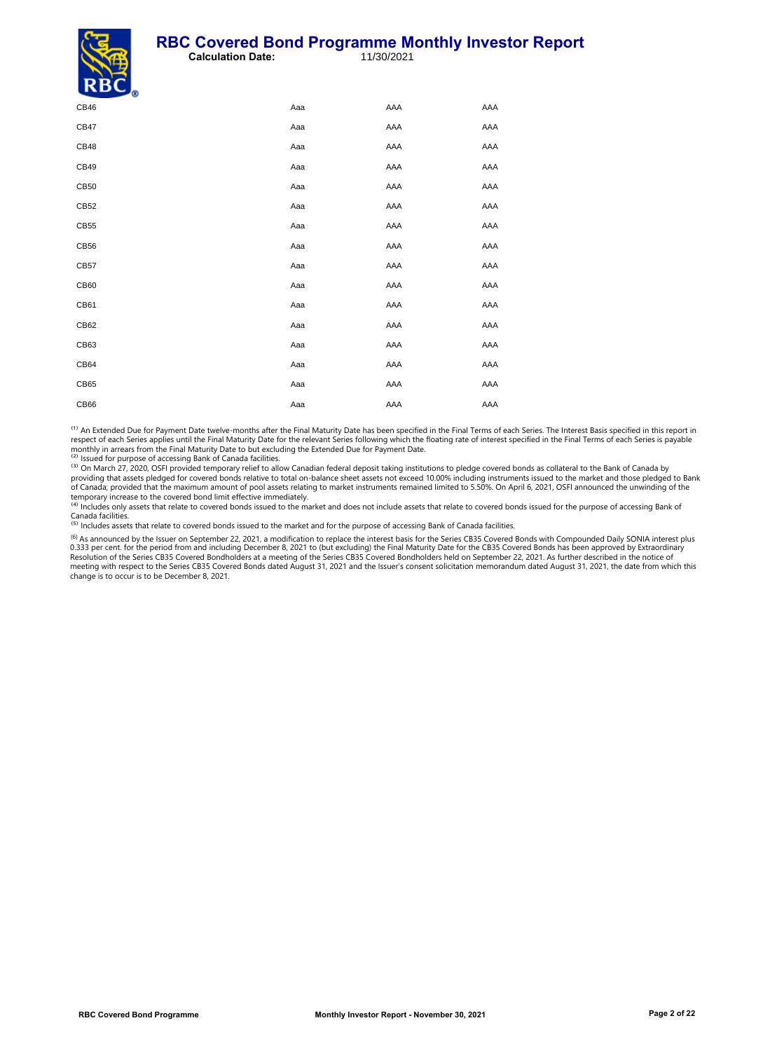#### **RBC Covered Bond Programme Monthly Investor Report**<br>Calculation Date: 11/30/2021 **Calculation Date:**



| $\sim$ $\sim$ $\sim$ $\sim$ |     |     |     |
|-----------------------------|-----|-----|-----|
| CB46                        | Aaa | AAA | AAA |
| CB47                        | Aaa | AAA | AAA |
| CB48                        | Aaa | AAA | AAA |
| CB49                        | Aaa | AAA | AAA |
| CB <sub>50</sub>            | Aaa | AAA | AAA |
| CB52                        | Aaa | AAA | AAA |
| CB55                        | Aaa | AAA | AAA |
| CB56                        | Aaa | AAA | AAA |
| CB57                        | Aaa | AAA | AAA |
| CB60                        | Aaa | AAA | AAA |
| CB61                        | Aaa | AAA | AAA |
| CB62                        | Aaa | AAA | AAA |
| CB63                        | Aaa | AAA | AAA |
| CB64                        | Aaa | AAA | AAA |
| CB65                        | Aaa | AAA | AAA |
| CB66                        | Aaa | AAA | AAA |
|                             |     |     |     |

<sup>(1)</sup> An Extended Due for Payment Date twelve-months after the Final Maturity Date has been specified in the Final Terms of each Series. The Interest Basis specified in this report in respect of each Series applies until the Final Maturity Date for the relevant Series following which the floating rate of interest specified in the Final Terms of each Series is payable<br>monthly in arrears from the Final Ma <sup>(2)</sup> Issued for purpose of accessing Bank of Canada facilities.

<sup>(3)</sup> On March 27, 2020, OSFI provided temporary relief to allow Canadian federal deposit taking institutions to pledge covered bonds as collateral to the Bank of Canada by<br>providing that assets pledged for covered bonds r

temporary increase to the covered bond limit effective immediately.<br><sup>(4)</sup> Includes only assets that relate to covered bonds issued to the market and does not include assets that relate to covered bonds issued for the purpo

<sup>(5)</sup> Includes assets that relate to covered bonds issued to the market and for the purpose of accessing Bank of Canada facilities.

<sup>(6)</sup> As announced by the Issuer on September 22, 2021, a modification to replace the interest basis for the Series CB35 Covered Bonds with Compounded Daily SONIA interest plus<br>0.333 per cent. for the period from and inclu Resolution of the Series CB35 Covered Bondholders at a meeting of the Series CB35 Covered Bondholders held on September 22, 2021. As further described in the notice of meeting with respect to the Series CB35 Covered Bonds dated August 31, 2021 and the Issuer's consent solicitation memorandum dated August 31, 2021, the date from which this change is to occur is to be December 8, 2021.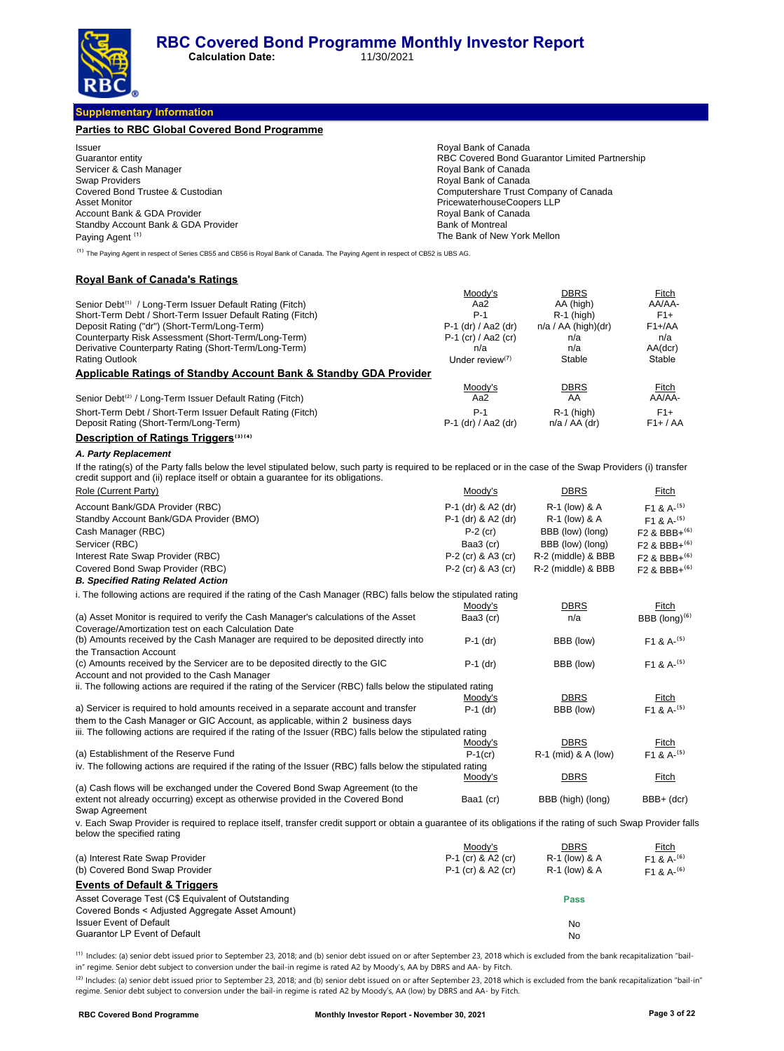**Calculation Date:** 

### **Supplementary Information**

| <b>Parties to RBC Global Covered Bond Programme</b> |                                                |
|-----------------------------------------------------|------------------------------------------------|
| <b>Issuer</b>                                       | Roval Bank of Canada                           |
| Guarantor entity                                    | RBC Covered Bond Guarantor Limited Partnership |
| Servicer & Cash Manager                             | Royal Bank of Canada                           |
| <b>Swap Providers</b>                               | Royal Bank of Canada                           |
| Covered Bond Trustee & Custodian                    | Computershare Trust Company of Canada          |
| Asset Monitor                                       | PricewaterhouseCoopers LLP                     |
| Account Bank & GDA Provider                         | Royal Bank of Canada                           |
| Standby Account Bank & GDA Provider                 | <b>Bank of Montreal</b>                        |
| Paying Agent <sup>(1)</sup>                         | The Bank of New York Mellon                    |

<sup>(1)</sup> The Paying Agent in respect of Series CB55 and CB56 is Royal Bank of Canada. The Paying Agent in respect of CB52 is UBS AG.

#### **Royal Bank of Canada's Ratings**

|                                                                              | Moody's               | <b>DBRS</b>           | Fitch      |
|------------------------------------------------------------------------------|-----------------------|-----------------------|------------|
| Senior Debt <sup>(1)</sup> / Long-Term Issuer Default Rating (Fitch)         | Aa2                   | AA (high)             | AA/AA-     |
| Short-Term Debt / Short-Term Issuer Default Rating (Fitch)                   | $P-1$                 | $R-1$ (high)          | $F1+$      |
| Deposit Rating ("dr") (Short-Term/Long-Term)                                 | P-1 (dr) / Aa2 (dr)   | $n/a / AA$ (high)(dr) | $F1+AA$    |
| Counterparty Risk Assessment (Short-Term/Long-Term)                          | $P-1$ (cr) / Aa2 (cr) | n/a                   | n/a        |
| Derivative Counterparty Rating (Short-Term/Long-Term)                        | n/a                   | n/a                   | AA(dcr)    |
| <b>Rating Outlook</b>                                                        | Under review $(7)$    | Stable                | Stable     |
| <b>Applicable Ratings of Standby Account Bank &amp; Standby GDA Provider</b> |                       |                       |            |
|                                                                              | Moody's               | <b>DBRS</b>           | Fitch      |
| Senior Debt <sup>(2)</sup> / Long-Term Issuer Default Rating (Fitch)         | Aa2                   | AA                    | AA/AA-     |
| Short-Term Debt / Short-Term Issuer Default Rating (Fitch)                   | $P-1$                 | $R-1$ (high)          | $F1+$      |
| Deposit Rating (Short-Term/Long-Term)                                        | P-1 (dr) / Aa2 (dr)   | $n/a / AA$ (dr)       | $F1+ / AA$ |

#### **Description of Ratings Triggers**<sup>(3)(4)</sup>

#### **A. Party Replacement**

If the rating(s) of the Party falls below the level stipulated below, such party is required to be replaced or in the case of the Swap Providers (i) transfer<br>credit support and (ii) replace itself or obtain a guarantee for

| Role (Current Party)                                                                                                                                                                          | Moody's            | <b>DBRS</b>         | Fitch                      |
|-----------------------------------------------------------------------------------------------------------------------------------------------------------------------------------------------|--------------------|---------------------|----------------------------|
| Account Bank/GDA Provider (RBC)                                                                                                                                                               | P-1 (dr) & A2 (dr) | R-1 (low) & A       | $F1 & A-(5)$               |
| Standby Account Bank/GDA Provider (BMO)                                                                                                                                                       | P-1 (dr) & A2 (dr) | R-1 (low) & A       | $F1 & A^{- (5)}$           |
| Cash Manager (RBC)                                                                                                                                                                            | $P-2$ (cr)         | BBB (low) (long)    | $F2$ & BBB+ <sup>(6)</sup> |
| Servicer (RBC)                                                                                                                                                                                | Baa3 (cr)          | BBB (low) (long)    | $F2$ & BBB+ $^{(6)}$       |
| Interest Rate Swap Provider (RBC)                                                                                                                                                             | P-2 (cr) & A3 (cr) | R-2 (middle) & BBB  | $F2$ & BBB+ $^{(6)}$       |
| Covered Bond Swap Provider (RBC)                                                                                                                                                              | P-2 (cr) & A3 (cr) | R-2 (middle) & BBB  | $F2$ & BBB+ $^{(6)}$       |
| <b>B. Specified Rating Related Action</b>                                                                                                                                                     |                    |                     |                            |
| i. The following actions are required if the rating of the Cash Manager (RBC) falls below the stipulated rating                                                                               |                    |                     |                            |
|                                                                                                                                                                                               | Moody's            | <b>DBRS</b>         | Fitch                      |
| (a) Asset Monitor is required to verify the Cash Manager's calculations of the Asset                                                                                                          | Baa3 (cr)          | n/a                 | BBB $(long)^{(6)}$         |
| Coverage/Amortization test on each Calculation Date<br>(b) Amounts received by the Cash Manager are required to be deposited directly into                                                    | $P-1$ (dr)         | BBB (low)           | F1 & 8A <sup>(5)</sup>     |
| the Transaction Account                                                                                                                                                                       |                    |                     |                            |
| (c) Amounts received by the Servicer are to be deposited directly to the GIC                                                                                                                  | $P-1$ (dr)         | BBB (low)           | $F1 & A-(5)$               |
| Account and not provided to the Cash Manager<br>ii. The following actions are required if the rating of the Servicer (RBC) falls below the stipulated rating                                  |                    |                     |                            |
|                                                                                                                                                                                               | Moody's            | <b>DBRS</b>         | Fitch                      |
| a) Servicer is required to hold amounts received in a separate account and transfer                                                                                                           | $P-1$ (dr)         | BBB (low)           | $F1 & A-(5)$               |
| them to the Cash Manager or GIC Account, as applicable, within 2 business days                                                                                                                |                    |                     |                            |
| iii. The following actions are required if the rating of the Issuer (RBC) falls below the stipulated rating                                                                                   |                    |                     |                            |
|                                                                                                                                                                                               | Moody's            | <b>DBRS</b>         | Fitch                      |
| (a) Establishment of the Reserve Fund                                                                                                                                                         | $P-1$ (cr)         | R-1 (mid) & A (low) | $F1 & A-(5)$               |
| iv. The following actions are required if the rating of the Issuer (RBC) falls below the stipulated rating                                                                                    |                    |                     |                            |
|                                                                                                                                                                                               | Moody's            | <b>DBRS</b>         | Fitch                      |
| (a) Cash flows will be exchanged under the Covered Bond Swap Agreement (to the                                                                                                                |                    |                     |                            |
| extent not already occurring) except as otherwise provided in the Covered Bond<br>Swap Agreement                                                                                              | Baa1 (cr)          | BBB (high) (long)   | BBB+ (dcr)                 |
| v. Each Swap Provider is required to replace itself, transfer credit support or obtain a quarantee of its obligations if the rating of such Swap Provider falls<br>below the specified rating |                    |                     |                            |

|                                                    | Moodv's              | <b>DBRS</b>   | Fitch         |
|----------------------------------------------------|----------------------|---------------|---------------|
| (a) Interest Rate Swap Provider                    | P-1 (cr) & A2 (cr)   | R-1 (low) & A | $F1 \& A-(6)$ |
| (b) Covered Bond Swap Provider                     | $P-1$ (cr) & A2 (cr) | R-1 (low) & A | $F1 \& A-(6)$ |
| <b>Events of Default &amp; Triggers</b>            |                      |               |               |
| Asset Coverage Test (C\$ Equivalent of Outstanding |                      | <b>Pass</b>   |               |
| Covered Bonds < Adjusted Aggregate Asset Amount)   |                      |               |               |
| <b>Issuer Event of Default</b>                     |                      | No            |               |
| <b>Guarantor LP Event of Default</b>               |                      | No            |               |

<sup>(1)</sup> Includes: (a) senior debt issued prior to September 23, 2018; and (b) senior debt issued on or after September 23, 2018 which is excluded from the bank recapitalization "bailin" regime. Senior debt subject to conversion under the bail-in regime is rated A2 by Moody's, AA by DBRS and AA- by Fitch.

<sup>(2)</sup> Includes: (a) senior debt issued prior to September 23, 2018; and (b) senior debt issued on or after September 23, 2018 which is excluded from the bank recapitalization "bail-in" regime. Senior debt subject to conversion under the bail-in regime is rated A2 by Moody's, AA (low) by DBRS and AA- by Fitch.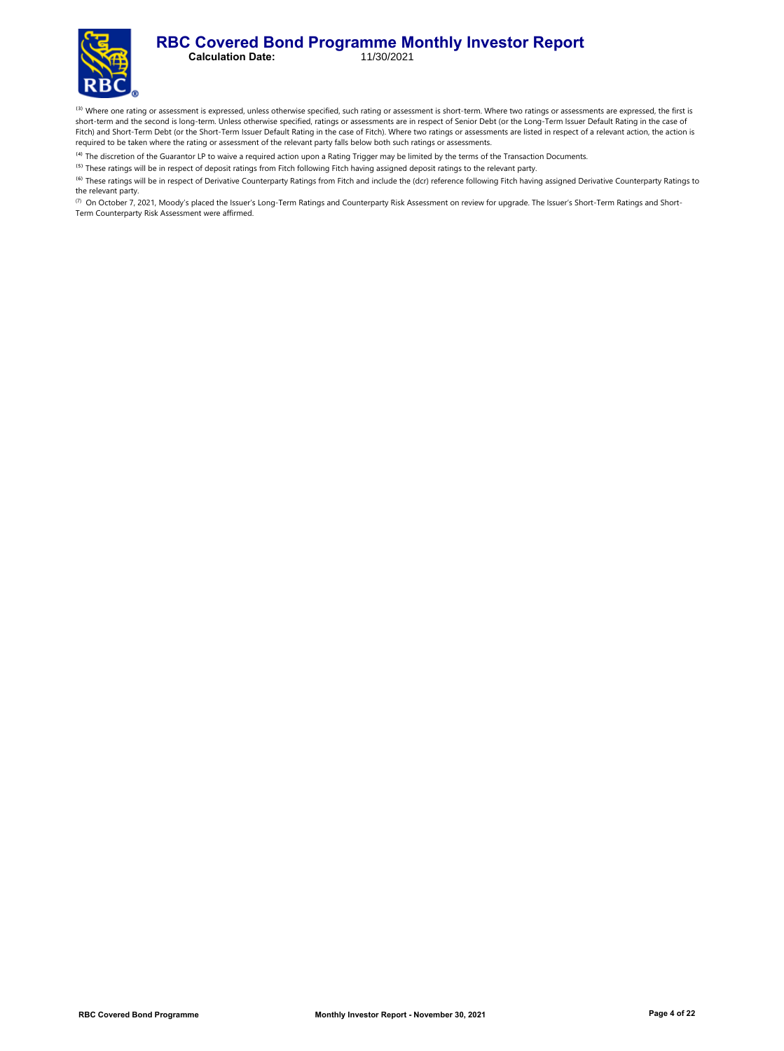#### **RBC Covered Bond Programme Monthly Investor Report**<br>Calculation Date: 11/30/2021 **Calculation Date:**

<sup>(3)</sup> Where one rating or assessment is expressed, unless otherwise specified, such rating or assessment is short-term. Where two ratings or assessments are expressed, the first is short-term and the second is long-term. Unless otherwise specified, ratings or assessments are in respect of Senior Debt (or the Long-Term Issuer Default Rating in the case of Fitch) and Short-Term Debt (or the Short-Term Issuer Default Rating in the case of Fitch). Where two ratings or assessments are listed in respect of a relevant action, the action is required to be taken where the rating or assessment of the relevant party falls below both such ratings or assessments.

<sup>(4)</sup> The discretion of the Guarantor LP to waive a required action upon a Rating Trigger may be limited by the terms of the Transaction Documents.

<sup>(5)</sup> These ratings will be in respect of deposit ratings from Fitch following Fitch having assigned deposit ratings to the relevant party.

<sup>(6)</sup> These ratings will be in respect of Derivative Counterparty Ratings from Fitch and include the (dcr) reference following Fitch having assigned Derivative Counterparty Ratings to the relevant party.

(7) On October 7, 2021, Moody's placed the Issuer's Long-Term Ratings and Counterparty Risk Assessment on review for upgrade. The Issuer's Short-Term Ratings and Short-Term Counterparty Risk Assessment were affirmed.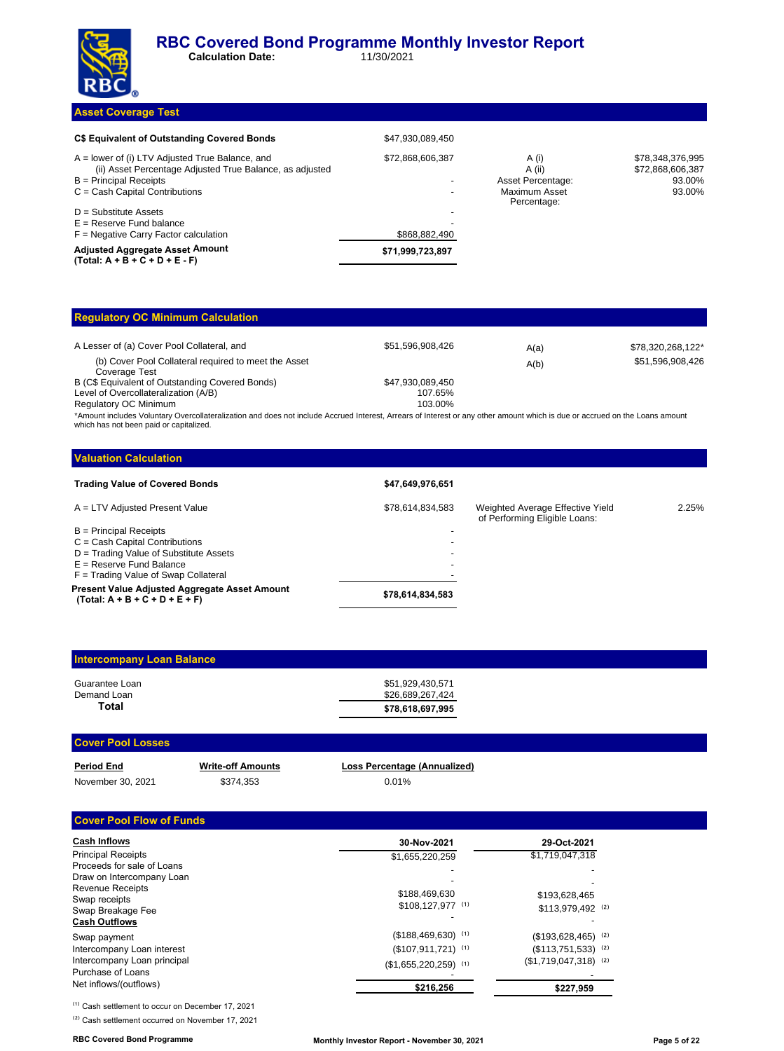

### **Asset Coverage Test**

| C\$ Equivalent of Outstanding Covered Bonds                                                                                                                                   | \$47,930,089,450 |                                                                      |                                                          |
|-------------------------------------------------------------------------------------------------------------------------------------------------------------------------------|------------------|----------------------------------------------------------------------|----------------------------------------------------------|
| $A =$ lower of (i) LTV Adjusted True Balance, and<br>(ii) Asset Percentage Adjusted True Balance, as adjusted<br>$B =$ Principal Receipts<br>$C = Cash$ Capital Contributions | \$72,868,606,387 | A (i)<br>A (ii)<br>Asset Percentage:<br>Maximum Asset<br>Percentage: | \$78,348,376,995<br>\$72,868,606,387<br>93.00%<br>93.00% |
| $D =$ Substitute Assets<br>$E =$ Reserve Fund balance<br>$F =$ Negative Carry Factor calculation                                                                              | \$868,882,490    |                                                                      |                                                          |
| <b>Adjusted Aggregate Asset Amount</b><br>$(Total: A + B + C + D + E - F)$                                                                                                    | \$71,999,723,897 |                                                                      |                                                          |

#### **Regulatory OC Minimum Calculation** A Lesser of (a) Cover Pool Collateral, and **\$51,596,908,426** A(a)  $A$ (a) \$78,320,268,122<sup>\*</sup> (b) Cover Pool Collateral required to meet the Asset Coverage Test A(b) \$51,596,908,426 B (C\$ Equivalent of Outstanding Covered Bonds)<br>
Level of Overcollateralization (A/B)<br>
107.65% Level of Overcollateralization (A/B) 107.65%<br>
Requlatory OC Minimum 103.00% Regulatory OC Minimum

\*Amount includes Voluntary Overcollateralization and does not include Accrued Interest, Arrears of Interest or any other amount which is due or accrued on the Loans amount which has not been paid or capitalized.

| \$47,649,976,651 |                                                                   |       |
|------------------|-------------------------------------------------------------------|-------|
| \$78,614,834,583 | Weighted Average Effective Yield<br>of Performing Eligible Loans: | 2.25% |
|                  |                                                                   |       |
|                  |                                                                   |       |
|                  |                                                                   |       |
| -                |                                                                   |       |
|                  |                                                                   |       |
| \$78,614,834,583 |                                                                   |       |
|                  |                                                                   |       |

| <b>Intercompany Loan Balance</b> |                                      |
|----------------------------------|--------------------------------------|
| Guarantee Loan<br>Demand Loan    | \$51.929.430.571<br>\$26,689,267,424 |
| Total                            | \$78.618.697.995                     |

#### **Cover Pool Losses**

| <b>Period End</b> |  |
|-------------------|--|
| N                 |  |

November 30, 2021 \$374,353 0.01%

**Write-off Amounts Loss Percentage (Annualized)** 

#### **Cover Pool Flow of Funds**

| <b>Cash Inflows</b>                              | 30-Nov-2021            | 29-Oct-2021                       |
|--------------------------------------------------|------------------------|-----------------------------------|
| <b>Principal Receipts</b>                        | \$1,655,220,259        | \$1,719,047,318                   |
| Proceeds for sale of Loans                       |                        |                                   |
| Draw on Intercompany Loan                        |                        |                                   |
| <b>Revenue Receipts</b><br>Swap receipts         | \$188,469,630          | \$193,628,465                     |
| Swap Breakage Fee                                | \$108,127,977 (1)      | \$113.979.492 (2)                 |
| <b>Cash Outflows</b>                             |                        |                                   |
| Swap payment                                     | $($188,469,630)$ (1)   | $($193,628,465)$ <sup>(2)</sup>   |
| Intercompany Loan interest                       | $($107,911,721)$ (1)   | $($113,751,533)$ (2)              |
| Intercompany Loan principal<br>Purchase of Loans | $($1,655,220,259)$ (1) | $($1,719,047,318)$ <sup>(2)</sup> |
| Net inflows/(outflows)                           | \$216.256              | \$227,959                         |

<sup>(1)</sup> Cash settlement to occur on December 17, 2021

<sup>(2)</sup> Cash settlement occurred on November 17, 2021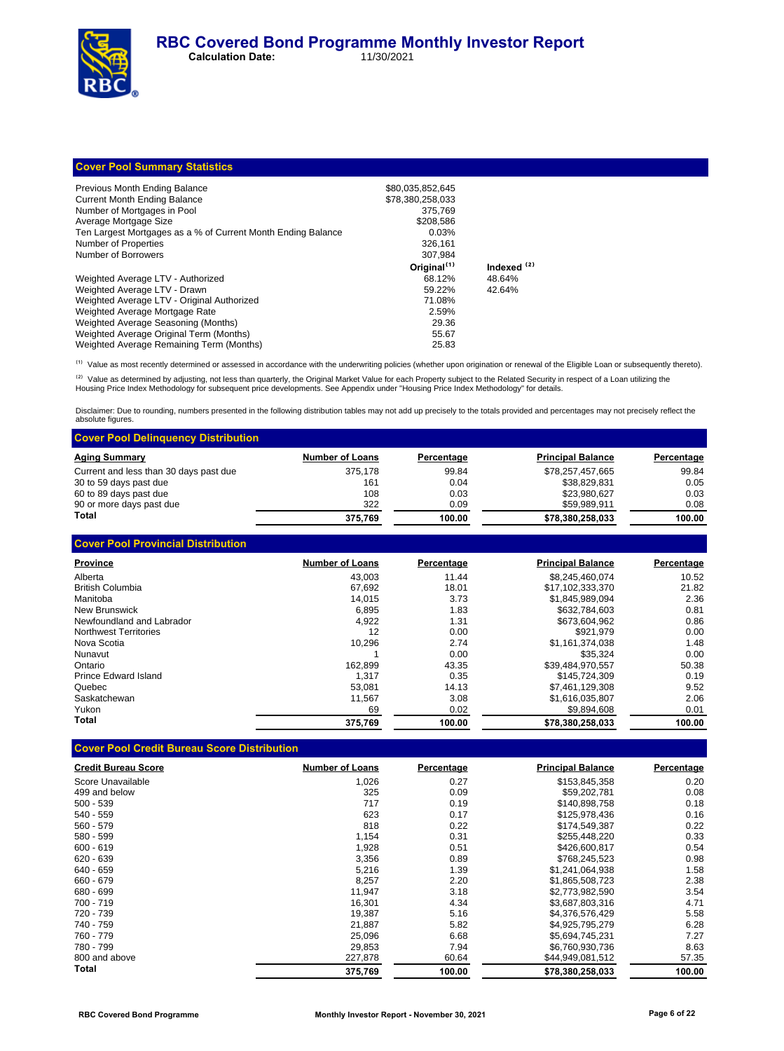**Cover Pool Summary Statistics**

| Previous Month Ending Balance                                | \$80,035,852,645        |                        |
|--------------------------------------------------------------|-------------------------|------------------------|
| <b>Current Month Ending Balance</b>                          | \$78.380.258.033        |                        |
| Number of Mortgages in Pool                                  | 375.769                 |                        |
| Average Mortgage Size                                        | \$208.586               |                        |
| Ten Largest Mortgages as a % of Current Month Ending Balance | 0.03%                   |                        |
| Number of Properties                                         | 326.161                 |                        |
| Number of Borrowers                                          | 307.984                 |                        |
|                                                              | Original <sup>(1)</sup> | Indexed <sup>(2)</sup> |
| Weighted Average LTV - Authorized                            | 68.12%                  | 48.64%                 |
| Weighted Average LTV - Drawn                                 | 59.22%                  | 42.64%                 |
| Weighted Average LTV - Original Authorized                   | 71.08%                  |                        |
| Weighted Average Mortgage Rate                               | 2.59%                   |                        |
| Weighted Average Seasoning (Months)                          | 29.36                   |                        |
| Weighted Average Original Term (Months)                      | 55.67                   |                        |
| Weighted Average Remaining Term (Months)                     | 25.83                   |                        |

<sup>(1)</sup> Value as most recently determined or assessed in accordance with the underwriting policies (whether upon origination or renewal of the Eligible Loan or subsequently thereto).

<sup>(2)</sup> Value as determined by adjusting, not less than quarterly, the Original Market Value for each Property subject to the Related Security in respect of a Loan utilizing the<br>Housing Price Index Methodology for subsequent

Disclaimer: Due to rounding, numbers presented in the following distribution tables may not add up precisely to the totals provided and percentages may not precisely reflect the absolute figures.

| <b>Cover Pool Delinguency Distribution</b> |                        |            |                          |            |
|--------------------------------------------|------------------------|------------|--------------------------|------------|
| <b>Aging Summary</b>                       | <b>Number of Loans</b> | Percentage | <b>Principal Balance</b> | Percentage |
| Current and less than 30 days past due     | 375.178                | 99.84      | \$78,257,457,665         | 99.84      |
| 30 to 59 days past due                     | 161                    | 0.04       | \$38.829.831             | 0.05       |
| 60 to 89 days past due                     | 108                    | 0.03       | \$23.980.627             | 0.03       |
| 90 or more days past due                   | 322                    | 0.09       | \$59.989.911             | 0.08       |
| Total                                      | 375.769                | 100.00     | \$78.380.258.033         | 100.00     |

| <b>Cover Pool Provincial Distribution</b> |                        |            |                          |            |
|-------------------------------------------|------------------------|------------|--------------------------|------------|
| <b>Province</b>                           | <b>Number of Loans</b> | Percentage | <b>Principal Balance</b> | Percentage |
| Alberta                                   | 43.003                 | 11.44      | \$8,245,460,074          | 10.52      |
| British Columbia                          | 67.692                 | 18.01      | \$17,102,333,370         | 21.82      |
| Manitoba                                  | 14.015                 | 3.73       | \$1.845.989.094          | 2.36       |
| New Brunswick                             | 6,895                  | 1.83       | \$632,784,603            | 0.81       |
| Newfoundland and Labrador                 | 4,922                  | 1.31       | \$673,604,962            | 0.86       |
| Northwest Territories                     | 12                     | 0.00       | \$921.979                | 0.00       |
| Nova Scotia                               | 10.296                 | 2.74       | \$1.161.374.038          | 1.48       |
| Nunavut                                   |                        | 0.00       | \$35.324                 | 0.00       |
| Ontario                                   | 162.899                | 43.35      | \$39.484.970.557         | 50.38      |
| Prince Edward Island                      | 1.317                  | 0.35       | \$145.724.309            | 0.19       |
| Quebec                                    | 53.081                 | 14.13      | \$7.461.129.308          | 9.52       |
| Saskatchewan                              | 11.567                 | 3.08       | \$1,616,035,807          | 2.06       |
| Yukon                                     | 69                     | 0.02       | \$9.894.608              | 0.01       |
| Total                                     | 375,769                | 100.00     | \$78,380,258,033         | 100.00     |

## **Cover Pool Credit Bureau Score Distribution**

| <b>Credit Bureau Score</b> | <b>Number of Loans</b> | Percentage | <b>Principal Balance</b> | Percentage |
|----------------------------|------------------------|------------|--------------------------|------------|
| Score Unavailable          | 1,026                  | 0.27       | \$153,845,358            | 0.20       |
| 499 and below              | 325                    | 0.09       | \$59,202,781             | 0.08       |
| $500 - 539$                | 717                    | 0.19       | \$140,898,758            | 0.18       |
| 540 - 559                  | 623                    | 0.17       | \$125,978,436            | 0.16       |
| $560 - 579$                | 818                    | 0.22       | \$174,549,387            | 0.22       |
| 580 - 599                  | 1,154                  | 0.31       | \$255,448,220            | 0.33       |
| $600 - 619$                | 1,928                  | 0.51       | \$426,600,817            | 0.54       |
| 620 - 639                  | 3,356                  | 0.89       | \$768,245,523            | 0.98       |
| 640 - 659                  | 5,216                  | 1.39       | \$1,241,064,938          | 1.58       |
| 660 - 679                  | 8,257                  | 2.20       | \$1,865,508,723          | 2.38       |
| 680 - 699                  | 11.947                 | 3.18       | \$2,773,982,590          | 3.54       |
| 700 - 719                  | 16,301                 | 4.34       | \$3,687,803,316          | 4.71       |
| 720 - 739                  | 19,387                 | 5.16       | \$4,376,576,429          | 5.58       |
| 740 - 759                  | 21,887                 | 5.82       | \$4,925,795,279          | 6.28       |
| 760 - 779                  | 25,096                 | 6.68       | \$5,694,745,231          | 7.27       |
| 780 - 799                  | 29,853                 | 7.94       | \$6,760,930,736          | 8.63       |
| 800 and above              | 227,878                | 60.64      | \$44,949,081,512         | 57.35      |
| Total                      | 375,769                | 100.00     | \$78,380,258,033         | 100.00     |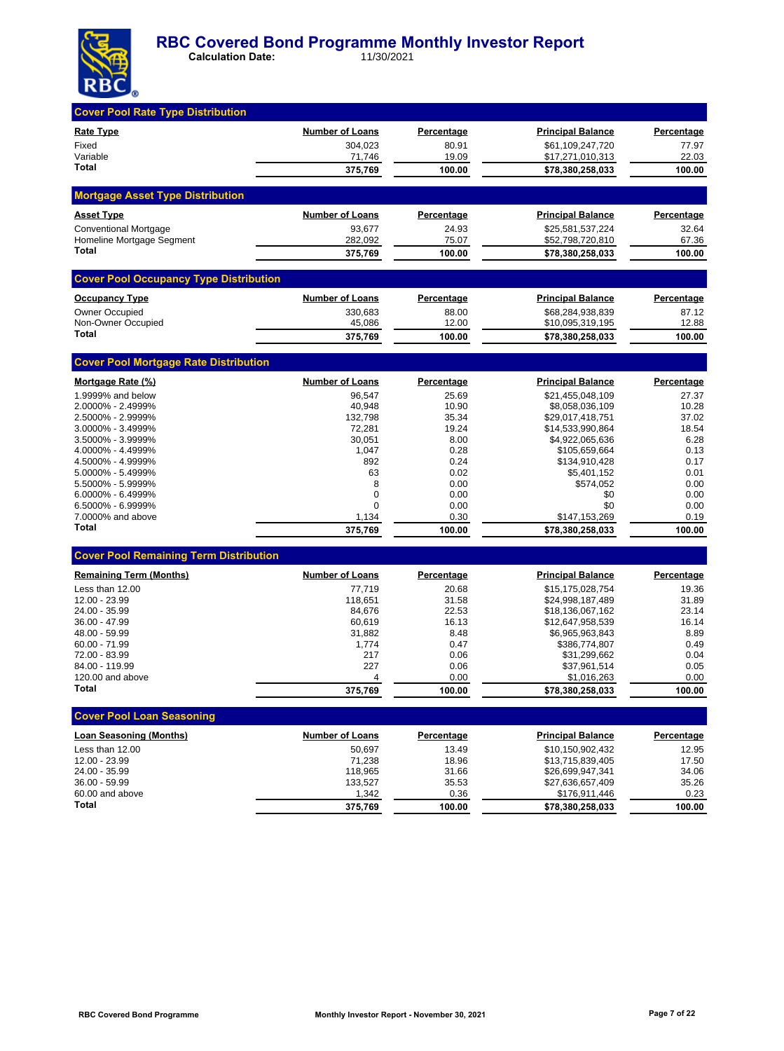

| <b>Cover Pool Rate Type Distribution</b>      |                        |                   |                                      |                   |
|-----------------------------------------------|------------------------|-------------------|--------------------------------------|-------------------|
| <b>Rate Type</b>                              | <b>Number of Loans</b> | <b>Percentage</b> | <b>Principal Balance</b>             | Percentage        |
| Fixed                                         | 304,023                | 80.91             | \$61,109,247,720                     | 77.97             |
| Variable<br>Total                             | 71,746                 | 19.09             | \$17,271,010,313                     | 22.03             |
|                                               | 375,769                | 100.00            | \$78,380,258,033                     | 100.00            |
| <b>Mortgage Asset Type Distribution</b>       |                        |                   |                                      |                   |
| <b>Asset Type</b>                             | <b>Number of Loans</b> | <b>Percentage</b> | <b>Principal Balance</b>             | Percentage        |
| <b>Conventional Mortgage</b>                  | 93,677                 | 24.93             | \$25,581,537,224                     | 32.64             |
| Homeline Mortgage Segment<br>Total            | 282,092                | 75.07             | \$52,798,720,810                     | 67.36             |
|                                               | 375,769                | 100.00            | \$78,380,258,033                     | 100.00            |
| <b>Cover Pool Occupancy Type Distribution</b> |                        |                   |                                      |                   |
| <b>Occupancy Type</b>                         | <b>Number of Loans</b> | <b>Percentage</b> | <b>Principal Balance</b>             | Percentage        |
| <b>Owner Occupied</b>                         | 330,683                | 88.00             | \$68,284,938,839                     | 87.12             |
| Non-Owner Occupied<br>Total                   | 45,086                 | 12.00             | \$10,095,319,195                     | 12.88             |
|                                               | 375,769                | 100.00            | \$78,380,258,033                     | 100.00            |
| <b>Cover Pool Mortgage Rate Distribution</b>  |                        |                   |                                      |                   |
| Mortgage Rate (%)                             | <b>Number of Loans</b> | <u>Percentage</u> | <b>Principal Balance</b>             | <b>Percentage</b> |
| 1.9999% and below                             | 96,547                 | 25.69             | \$21,455,048,109                     | 27.37             |
| 2.0000% - 2.4999%                             | 40,948                 | 10.90             | \$8,058,036,109                      | 10.28             |
| 2.5000% - 2.9999%<br>3.0000% - 3.4999%        | 132,798<br>72,281      | 35.34<br>19.24    | \$29,017,418,751<br>\$14,533,990,864 | 37.02<br>18.54    |
| 3.5000% - 3.9999%                             | 30,051                 | 8.00              | \$4,922,065,636                      | 6.28              |
| 4.0000% - 4.4999%                             | 1,047                  | 0.28              | \$105,659,664                        | 0.13              |
| 4.5000% - 4.9999%                             | 892                    | 0.24              | \$134,910,428                        | 0.17              |
| 5.0000% - 5.4999%                             | 63                     | 0.02              | \$5,401,152                          | 0.01              |
| 5.5000% - 5.9999%                             | 8                      | 0.00              | \$574,052                            | 0.00              |
| 6.0000% - 6.4999%                             | 0                      | 0.00              | \$0                                  | 0.00              |
| 6.5000% - 6.9999%                             | $\Omega$               | 0.00              | \$0                                  | 0.00              |
| 7.0000% and above<br>Total                    | 1,134                  | 0.30              | \$147,153,269                        | 0.19              |
|                                               | 375,769                | 100.00            | \$78,380,258,033                     | 100.00            |
| <b>Cover Pool Remaining Term Distribution</b> |                        |                   |                                      |                   |
| <b>Remaining Term (Months)</b>                | <b>Number of Loans</b> | Percentage        | <b>Principal Balance</b>             | Percentage        |
| Less than 12.00                               | 77,719                 | 20.68             | \$15,175,028,754                     | 19.36             |
| 12.00 - 23.99                                 | 118,651                | 31.58             | \$24,998,187,489                     | 31.89             |
| 24.00 - 35.99<br>36.00 - 47.99                | 84,676                 | 22.53<br>16.13    | \$18,136,067,162<br>\$12,647,958,539 | 23.14<br>16.14    |
| 48.00 - 59.99                                 | 60,619<br>31,882       | 8.48              | \$6,965,963,843                      | 8.89              |
| 60.00 - 71.99                                 | 1,774                  | 0.47              | \$386,774,807                        | 0.49              |
| 72.00 - 83.99                                 | 217                    | 0.06              | \$31,299,662                         | 0.04              |
| 84.00 - 119.99                                | 227                    | 0.06              | \$37,961,514                         | 0.05              |
| 120.00 and above                              | 4                      | 0.00              | \$1,016,263                          | 0.00              |
| <b>Total</b>                                  | 375.769                | 100.00            | \$78.380.258.033                     | 100.00            |
| <b>Cover Pool Loan Seasoning</b>              |                        |                   |                                      |                   |
| <b>Loan Seasoning (Months)</b>                | <b>Number of Loans</b> | <b>Percentage</b> | <b>Principal Balance</b>             | Percentage        |
| Less than 12.00                               | 50,697                 | 13.49             | \$10,150,902,432                     | 12.95             |
| 12.00 - 23.99                                 | 71,238                 | 18.96             | \$13,715,839,405                     | 17.50             |
| 24.00 - 35.99                                 | 118,965                | 31.66             | \$26,699,947,341                     | 34.06             |
| 36.00 - 59.99                                 | 133,527                | 35.53             | \$27,636,657,409                     | 35.26             |
| 60.00 and above<br>Total                      | 1,342                  | 0.36              | \$176,911,446                        | 0.23              |
|                                               | 375,769                | 100.00            | \$78,380,258,033                     | 100.00            |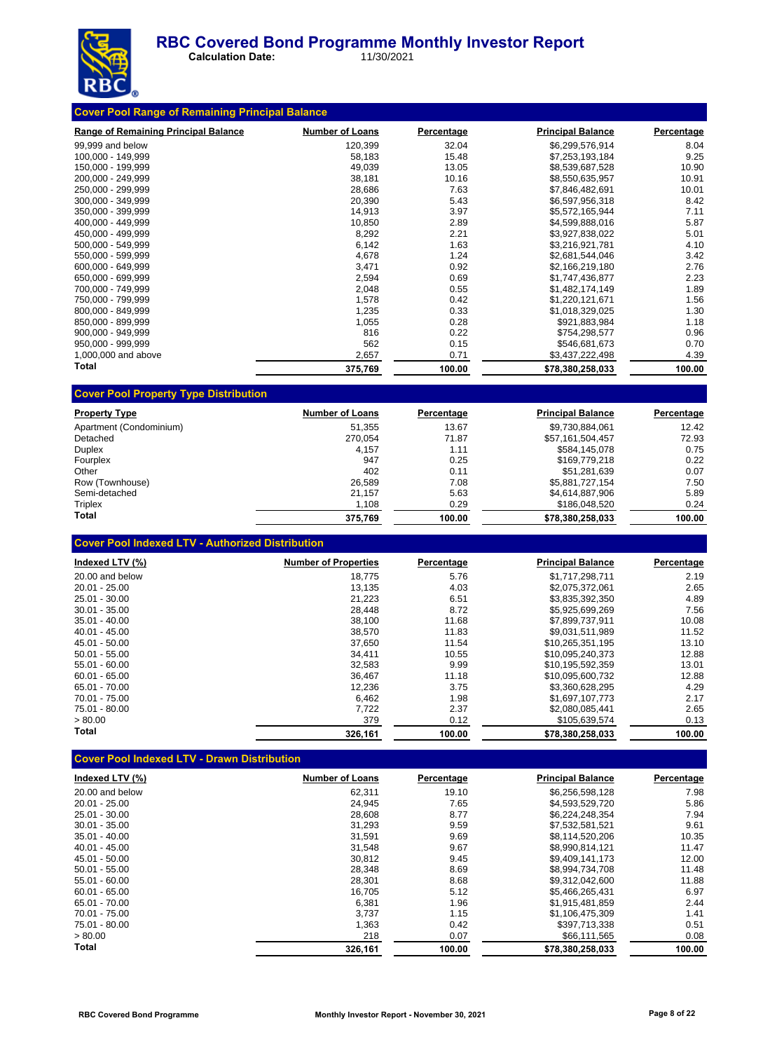

 **Calculation Date:** 11/30/2021

| <b>Range of Remaining Principal Balance</b> | <b>Number of Loans</b> | Percentage | <b>Principal Balance</b> | Percentage |
|---------------------------------------------|------------------------|------------|--------------------------|------------|
| 99,999 and below                            | 120,399                | 32.04      | \$6,299,576,914          | 8.04       |
| 100,000 - 149,999                           | 58,183                 | 15.48      | \$7,253,193,184          | 9.25       |
| 150,000 - 199,999                           | 49,039                 | 13.05      | \$8,539,687,528          | 10.90      |
| 200.000 - 249.999                           | 38,181                 | 10.16      | \$8,550,635,957          | 10.91      |
| 250.000 - 299.999                           | 28,686                 | 7.63       | \$7,846,482,691          | 10.01      |
| 300,000 - 349,999                           | 20,390                 | 5.43       | \$6,597,956,318          | 8.42       |
| 350.000 - 399.999                           | 14,913                 | 3.97       | \$5,572,165,944          | 7.11       |
| 400,000 - 449,999                           | 10,850                 | 2.89       | \$4,599,888,016          | 5.87       |
| 450,000 - 499,999                           | 8,292                  | 2.21       | \$3,927,838,022          | 5.01       |
| 500,000 - 549,999                           | 6,142                  | 1.63       | \$3,216,921,781          | 4.10       |
| 550,000 - 599,999                           | 4,678                  | 1.24       | \$2,681,544,046          | 3.42       |
| 600.000 - 649.999                           | 3,471                  | 0.92       | \$2,166,219,180          | 2.76       |
| 650,000 - 699,999                           | 2,594                  | 0.69       | \$1,747,436,877          | 2.23       |
| 700,000 - 749,999                           | 2,048                  | 0.55       | \$1,482,174,149          | 1.89       |
| 750,000 - 799,999                           | 1,578                  | 0.42       | \$1,220,121,671          | 1.56       |
| 800,000 - 849,999                           | 1,235                  | 0.33       | \$1,018,329,025          | 1.30       |
| 850,000 - 899,999                           | 1,055                  | 0.28       | \$921,883,984            | 1.18       |
| 900,000 - 949,999                           | 816                    | 0.22       | \$754,298,577            | 0.96       |
| 950,000 - 999,999                           | 562                    | 0.15       | \$546,681,673            | 0.70       |
| 1,000,000 and above                         | 2,657                  | 0.71       | \$3,437,222,498          | 4.39       |
| Total                                       | 375,769                | 100.00     | \$78,380,258,033         | 100.00     |

| <b>Property Type</b>    | <b>Number of Loans</b> | Percentage | <b>Principal Balance</b> | Percentage |
|-------------------------|------------------------|------------|--------------------------|------------|
| Apartment (Condominium) | 51.355                 | 13.67      | \$9,730,884,061          | 12.42      |
| Detached                | 270.054                | 71.87      | \$57,161,504,457         | 72.93      |
| Duplex                  | 4.157                  | 1.11       | \$584,145,078            | 0.75       |
| Fourplex                | 947                    | 0.25       | \$169,779,218            | 0.22       |
| Other                   | 402                    | 0.11       | \$51.281.639             | 0.07       |
| Row (Townhouse)         | 26.589                 | 7.08       | \$5,881,727,154          | 7.50       |
| Semi-detached           | 21.157                 | 5.63       | \$4,614,887,906          | 5.89       |
| Triplex                 | 1,108                  | 0.29       | \$186,048,520            | 0.24       |
| Total                   | 375.769                | 100.00     | \$78.380.258.033         | 100.00     |

## **Cover Pool Indexed LTV - Authorized Distribution**

| Indexed LTV (%) | <b>Number of Properties</b> | Percentage | <b>Principal Balance</b> | Percentage |
|-----------------|-----------------------------|------------|--------------------------|------------|
| 20.00 and below | 18.775                      | 5.76       | \$1,717,298,711          | 2.19       |
| $20.01 - 25.00$ | 13,135                      | 4.03       | \$2,075,372,061          | 2.65       |
| 25.01 - 30.00   | 21.223                      | 6.51       | \$3.835.392.350          | 4.89       |
| $30.01 - 35.00$ | 28,448                      | 8.72       | \$5,925,699,269          | 7.56       |
| 35.01 - 40.00   | 38,100                      | 11.68      | \$7.899.737.911          | 10.08      |
| $40.01 - 45.00$ | 38.570                      | 11.83      | \$9.031.511.989          | 11.52      |
| 45.01 - 50.00   | 37,650                      | 11.54      | \$10.265.351.195         | 13.10      |
| $50.01 - 55.00$ | 34.411                      | 10.55      | \$10.095.240.373         | 12.88      |
| $55.01 - 60.00$ | 32,583                      | 9.99       | \$10.195.592.359         | 13.01      |
| $60.01 - 65.00$ | 36,467                      | 11.18      | \$10.095.600.732         | 12.88      |
| 65.01 - 70.00   | 12,236                      | 3.75       | \$3,360,628,295          | 4.29       |
| $70.01 - 75.00$ | 6,462                       | 1.98       | \$1.697.107.773          | 2.17       |
| 75.01 - 80.00   | 7,722                       | 2.37       | \$2.080.085.441          | 2.65       |
| > 80.00         | 379                         | 0.12       | \$105,639,574            | 0.13       |
| Total           | 326,161                     | 100.00     | \$78,380,258,033         | 100.00     |

## **Cover Pool Indexed LTV - Drawn Distribution**

| Indexed LTV (%) | <b>Number of Loans</b> | Percentage | <b>Principal Balance</b> | <b>Percentage</b> |
|-----------------|------------------------|------------|--------------------------|-------------------|
| 20.00 and below | 62.311                 | 19.10      | \$6,256,598,128          | 7.98              |
| $20.01 - 25.00$ | 24.945                 | 7.65       | \$4.593.529.720          | 5.86              |
| 25.01 - 30.00   | 28,608                 | 8.77       | \$6,224,248,354          | 7.94              |
| $30.01 - 35.00$ | 31.293                 | 9.59       | \$7,532,581,521          | 9.61              |
| $35.01 - 40.00$ | 31.591                 | 9.69       | \$8.114.520.206          | 10.35             |
| $40.01 - 45.00$ | 31.548                 | 9.67       | \$8.990.814.121          | 11.47             |
| 45.01 - 50.00   | 30.812                 | 9.45       | \$9.409.141.173          | 12.00             |
| $50.01 - 55.00$ | 28,348                 | 8.69       | \$8.994.734.708          | 11.48             |
| $55.01 - 60.00$ | 28,301                 | 8.68       | \$9,312,042,600          | 11.88             |
| $60.01 - 65.00$ | 16,705                 | 5.12       | \$5,466,265,431          | 6.97              |
| 65.01 - 70.00   | 6,381                  | 1.96       | \$1.915.481.859          | 2.44              |
| 70.01 - 75.00   | 3,737                  | 1.15       | \$1,106,475,309          | 1.41              |
| 75.01 - 80.00   | 1,363                  | 0.42       | \$397,713,338            | 0.51              |
| > 80.00         | 218                    | 0.07       | \$66,111,565             | 0.08              |
| Total           | 326.161                | 100.00     | \$78,380,258,033         | 100.00            |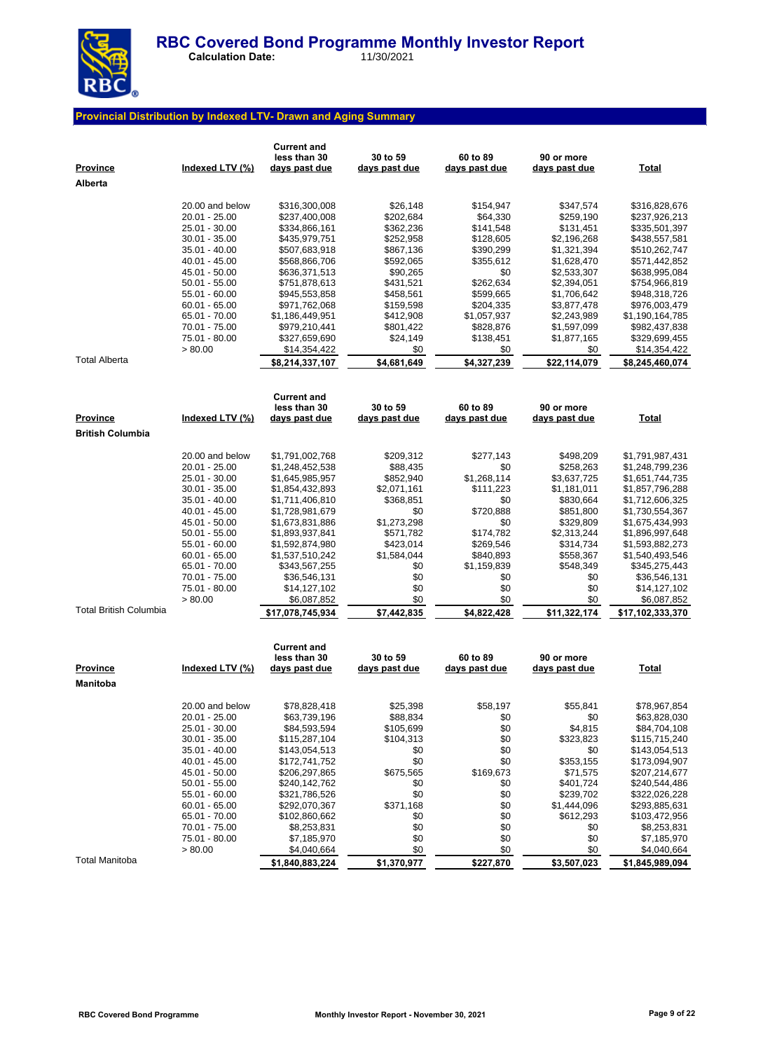

 **Calculation Date:** 11/30/2021

## **Provincial Distribution by Indexed LTV- Drawn and Aging Summary**

| <u>Province</u><br>Alberta | Indexed LTV (%)                  | <b>Current and</b><br>less than 30<br><u>days past due</u> | 30 to 59<br>days past due | 60 to 89<br>days past due | 90 or more<br><u>days past due</u> | <b>Total</b>                       |
|----------------------------|----------------------------------|------------------------------------------------------------|---------------------------|---------------------------|------------------------------------|------------------------------------|
|                            | 20.00 and below                  | \$316,300,008                                              | \$26,148                  | \$154,947                 | \$347,574                          | \$316,828,676                      |
|                            | 20.01 - 25.00                    | \$237,400,008                                              | \$202,684                 | \$64,330                  | \$259,190                          | \$237,926,213                      |
|                            | 25.01 - 30.00                    | \$334,866,161                                              | \$362,236                 | \$141,548                 | \$131,451                          | \$335,501,397                      |
|                            | $30.01 - 35.00$                  | \$435,979,751                                              | \$252,958                 | \$128,605                 | \$2,196,268                        | \$438,557,581                      |
|                            | $35.01 - 40.00$                  | \$507,683,918                                              | \$867,136                 | \$390,299                 | \$1,321,394                        | \$510,262,747                      |
|                            | 40.01 - 45.00                    | \$568,866,706                                              | \$592,065                 | \$355,612                 | \$1,628,470                        | \$571,442,852                      |
|                            | 45.01 - 50.00                    | \$636,371,513                                              | \$90,265                  | \$0<br>\$262,634          | \$2,533,307                        | \$638,995,084                      |
|                            | $50.01 - 55.00$<br>55.01 - 60.00 | \$751,878,613<br>\$945,553,858                             | \$431,521<br>\$458,561    | \$599,665                 | \$2,394,051<br>\$1,706,642         | \$754,966,819<br>\$948,318,726     |
|                            | $60.01 - 65.00$                  | \$971,762,068                                              | \$159,598                 | \$204,335                 | \$3,877,478                        | \$976,003,479                      |
|                            | 65.01 - 70.00                    | \$1,186,449,951                                            | \$412,908                 | \$1,057,937               | \$2,243,989                        | \$1,190,164,785                    |
|                            | 70.01 - 75.00                    | \$979,210,441                                              | \$801,422                 | \$828,876                 | \$1,597,099                        | \$982,437,838                      |
|                            | 75.01 - 80.00                    | \$327,659,690                                              | \$24,149                  | \$138,451                 | \$1,877,165                        | \$329,699,455                      |
|                            | > 80.00                          | \$14,354,422                                               | \$0                       | \$0                       | \$0                                | \$14,354,422                       |
| <b>Total Alberta</b>       |                                  | \$8,214,337,107                                            | \$4,681,649               | \$4,327,239               | \$22,114,079                       | \$8,245,460,074                    |
|                            |                                  | <b>Current and</b><br>less than 30                         | 30 to 59                  | 60 to 89                  | 90 or more                         |                                    |
| Province                   | Indexed LTV (%)                  | <u>days past due</u>                                       | days past due             | days past due             | <u>days past due</u>               | <u>Total</u>                       |
| <b>British Columbia</b>    |                                  |                                                            |                           |                           |                                    |                                    |
|                            | 20.00 and below                  | \$1,791,002,768                                            | \$209,312                 | \$277,143                 | \$498,209                          | \$1,791,987,431                    |
|                            | $20.01 - 25.00$                  | \$1,248,452,538                                            | \$88,435                  | \$0                       | \$258,263                          | \$1,248,799,236                    |
|                            | 25.01 - 30.00                    | \$1,645,985,957                                            | \$852,940                 | \$1,268,114               | \$3,637,725                        | \$1,651,744,735                    |
|                            | $30.01 - 35.00$                  | \$1,854,432,893                                            | \$2,071,161               | \$111,223                 | \$1,181,011                        | \$1,857,796,288                    |
|                            | $35.01 - 40.00$                  | \$1,711,406,810                                            | \$368,851                 | \$0                       | \$830,664                          | \$1,712,606,325                    |
|                            | 40.01 - 45.00                    | \$1,728,981,679                                            | \$0                       | \$720,888                 | \$851,800                          | \$1,730,554,367                    |
|                            | 45.01 - 50.00                    | \$1,673,831,886                                            | \$1,273,298               | \$0                       | \$329,809                          | \$1,675,434,993                    |
|                            | $50.01 - 55.00$                  | \$1,893,937,841                                            | \$571,782                 | \$174,782                 | \$2,313,244                        | \$1,896,997,648                    |
|                            | 55.01 - 60.00<br>$60.01 - 65.00$ | \$1,592,874,980<br>\$1,537,510,242                         | \$423,014<br>\$1,584,044  | \$269,546<br>\$840,893    | \$314,734<br>\$558,367             | \$1,593,882,273<br>\$1,540,493,546 |
|                            | 65.01 - 70.00                    | \$343,567,255                                              | \$0                       | \$1,159,839               | \$548,349                          | \$345,275,443                      |
|                            | 70.01 - 75.00                    | \$36,546,131                                               | \$0                       | \$0                       | \$0                                | \$36,546,131                       |
|                            | 75.01 - 80.00                    | \$14,127,102                                               | \$0                       | \$0                       | \$0                                | \$14,127,102                       |
|                            | > 80.00                          | \$6,087,852                                                | \$0                       | \$0                       | \$0                                | \$6,087,852                        |
| Total British Columbia     |                                  | \$17,078,745,934                                           | \$7,442,835               | \$4,822,428               | \$11,322,174                       | \$17,102,333,370                   |
|                            |                                  |                                                            |                           |                           |                                    |                                    |
|                            |                                  | <b>Current and</b><br>less than 30                         | 30 to 59                  | 60 to 89                  | 90 or more                         |                                    |
| Province                   | Indexed LTV (%)                  | <u>days past due</u>                                       | days past due             | days past due             | days past due                      | <b>Total</b>                       |
| Manitoba                   |                                  |                                                            |                           |                           |                                    |                                    |
|                            |                                  |                                                            |                           |                           |                                    |                                    |
|                            | 20.00 and below<br>20.01 - 25.00 | \$78,828,418<br>\$63,739,196                               | \$25,398<br>\$88,834      | \$58,197<br>\$0           | \$55.841<br>\$0                    | \$78,967,854<br>\$63,828,030       |
|                            | 25.01 - 30.00                    | \$84,593,594                                               | \$105,699                 | \$0                       | \$4,815                            | \$84,704,108                       |
|                            | $30.01 - 35.00$                  | \$115,287,104                                              | \$104,313                 | \$0                       | \$323,823                          | \$115,715,240                      |
|                            | $35.01 - 40.00$                  | \$143,054,513                                              | \$0                       | \$0                       | \$0                                | \$143,054,513                      |
|                            | 40.01 - 45.00                    | \$172,741,752                                              | \$0                       | \$0                       | \$353,155                          | \$173,094,907                      |
|                            | 45.01 - 50.00                    | \$206,297,865                                              | \$675,565                 | \$169,673                 | \$71,575                           | \$207,214,677                      |
|                            | $50.01 - 55.00$                  | \$240,142,762                                              | \$0                       | \$0                       | \$401,724                          | \$240,544,486                      |
|                            | $55.01 - 60.00$                  | \$321,786,526                                              | \$0                       | \$0                       | \$239,702                          | \$322,026,228                      |
|                            | $60.01 - 65.00$<br>65.01 - 70.00 | \$292,070,367<br>\$102,860,662                             | \$371,168<br>\$0          | \$0<br>\$0                | \$1,444,096<br>\$612,293           | \$293,885,631<br>\$103,472,956     |
|                            | 70.01 - 75.00                    | \$8,253,831                                                | \$0                       | \$0                       | \$0                                | \$8,253,831                        |
|                            | 75.01 - 80.00                    | \$7,185,970                                                | \$0                       | \$0                       | \$0                                | \$7,185,970                        |
|                            | > 80.00                          | \$4,040,664                                                | \$0                       | \$0                       | \$0                                | \$4,040,664                        |
| <b>Total Manitoba</b>      |                                  | \$1,840,883,224                                            | \$1,370,977               | \$227,870                 | \$3,507,023                        | \$1,845,989,094                    |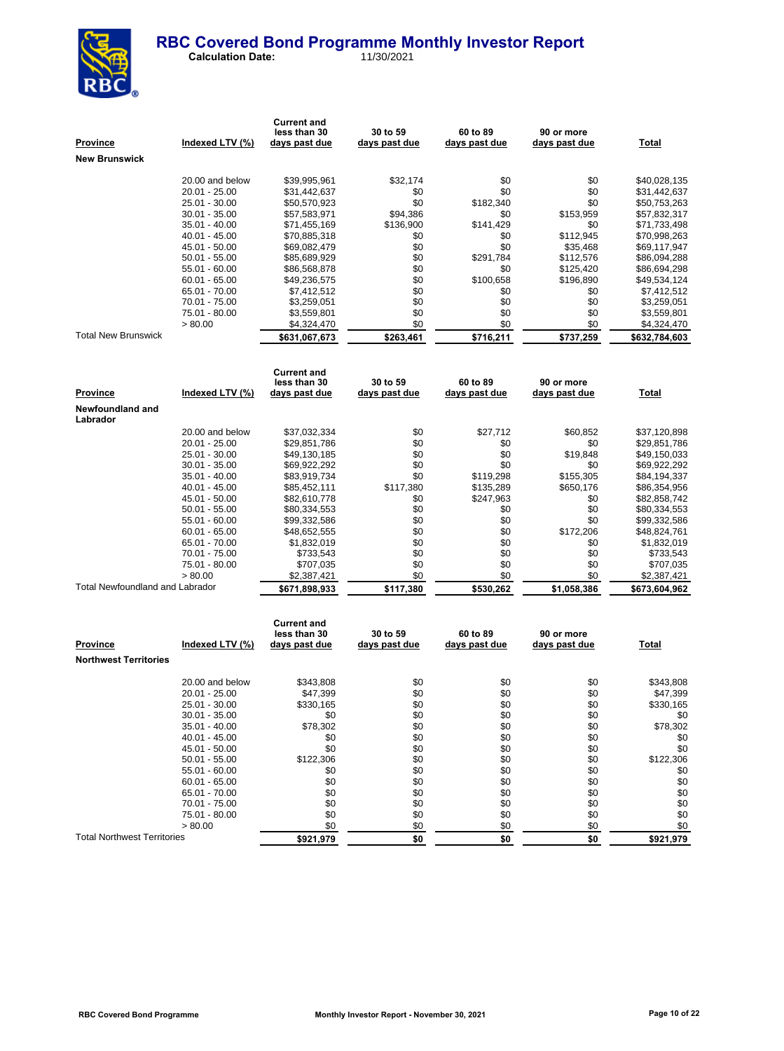

 **Calculation Date:** 11/30/2021

**Current and** 

| <u>Province</u>                 | Indexed LTV (%) | less than 30<br>days past due      | 30 to 59<br>days past due | 60 to 89<br>days past due | 90 or more<br>days past due | <b>Total</b>  |
|---------------------------------|-----------------|------------------------------------|---------------------------|---------------------------|-----------------------------|---------------|
|                                 |                 |                                    |                           |                           |                             |               |
| New Brunswick                   |                 |                                    |                           |                           |                             |               |
|                                 | 20.00 and below | \$39,995,961                       | \$32,174                  | \$0                       | \$0                         | \$40,028,135  |
|                                 | 20.01 - 25.00   | \$31,442,637                       | \$0                       | \$0                       | \$0                         | \$31,442,637  |
|                                 | 25.01 - 30.00   | \$50,570,923                       | \$0                       | \$182,340                 | \$0                         | \$50,753,263  |
|                                 | 30.01 - 35.00   | \$57,583,971                       | \$94,386                  | \$0                       | \$153,959                   | \$57,832,317  |
|                                 | 35.01 - 40.00   | \$71,455,169                       | \$136,900                 | \$141,429                 | \$0                         | \$71,733,498  |
|                                 | 40.01 - 45.00   | \$70,885,318                       | \$0                       | \$0                       | \$112,945                   | \$70,998,263  |
|                                 | 45.01 - 50.00   | \$69,082,479                       | \$0                       | \$0                       | \$35,468                    | \$69,117,947  |
|                                 | 50.01 - 55.00   | \$85,689,929                       | \$0                       | \$291,784                 | \$112,576                   | \$86,094,288  |
|                                 | 55.01 - 60.00   | \$86,568,878                       | \$0                       | \$0                       | \$125,420                   | \$86,694,298  |
|                                 | $60.01 - 65.00$ | \$49,236,575                       | \$0                       | \$100,658                 | \$196,890                   | \$49,534,124  |
|                                 | 65.01 - 70.00   | \$7,412,512                        | \$0                       | \$0                       | \$0                         | \$7,412,512   |
|                                 | 70.01 - 75.00   | \$3,259,051                        | \$0                       | \$0                       | \$0                         | \$3,259,051   |
|                                 | 75.01 - 80.00   | \$3,559,801                        | \$0                       | \$0                       | \$0                         | \$3,559,801   |
|                                 | > 80.00         | \$4,324,470                        | \$0                       | \$0                       | \$0                         | \$4,324,470   |
| <b>Total New Brunswick</b>      |                 | \$631,067,673                      | \$263,461                 | \$716,211                 | \$737,259                   | \$632,784,603 |
|                                 |                 |                                    |                           |                           |                             |               |
|                                 |                 | <b>Current and</b><br>less than 30 | 30 to 59                  | 60 to 89                  | 90 or more                  |               |
| <b>Province</b>                 | Indexed LTV (%) | days past due                      | days past due             | days past due             | days past due               | <b>Total</b>  |
| Newfoundland and<br>Labrador    |                 |                                    |                           |                           |                             |               |
|                                 | 20.00 and below | \$37,032,334                       | \$0                       | \$27,712                  | \$60,852                    | \$37,120,898  |
|                                 | $20.01 - 25.00$ | \$29,851,786                       | \$0                       | \$0                       | \$0                         | \$29,851,786  |
|                                 | 25.01 - 30.00   | \$49,130,185                       | \$0                       | \$0                       | \$19,848                    | \$49,150,033  |
|                                 | $30.01 - 35.00$ | \$69,922,292                       | \$0                       | \$0                       | \$0                         | \$69,922,292  |
|                                 | 35.01 - 40.00   | \$83,919,734                       | \$0                       | \$119,298                 | \$155,305                   | \$84,194,337  |
|                                 | $40.01 - 45.00$ | \$85,452,111                       | \$117,380                 | \$135,289                 | \$650,176                   | \$86,354,956  |
|                                 | 45.01 - 50.00   | \$82,610,778                       | \$0                       | \$247,963                 | \$0                         | \$82,858,742  |
|                                 | 50.01 - 55.00   | \$80,334,553                       | \$0                       | \$0                       | \$0                         | \$80,334,553  |
|                                 | 55.01 - 60.00   | \$99,332,586                       | \$0                       | \$0                       | \$0                         | \$99,332,586  |
|                                 | $60.01 - 65.00$ | \$48,652,555                       | \$0                       | \$0                       | \$172,206                   | \$48,824,761  |
|                                 | 65.01 - 70.00   | \$1,832,019                        | \$0                       | \$0                       | \$0                         | \$1,832,019   |
|                                 | 70.01 - 75.00   | \$733,543                          | \$0                       | \$0                       | \$0                         | \$733,543     |
|                                 | 75.01 - 80.00   | \$707,035                          | \$0                       | \$0                       | \$0                         | \$707,035     |
|                                 | > 80.00         | \$2,387,421                        | \$0                       | \$0                       | \$0                         | \$2,387,421   |
| Total Newfoundland and Labrador |                 | \$671,898,933                      | \$117,380                 | \$530,262                 | \$1,058,386                 | \$673,604,962 |
|                                 |                 |                                    |                           |                           |                             |               |
|                                 |                 | <b>Current and</b><br>less than 30 | 30 to 59                  | 60 to 89                  | 90 or more                  |               |

| <b>Province</b>                    | Indexed LTV (%) | less than 30<br>days past due | <b>30 to 59</b><br>days past due | 60 to 89<br>days past due | 90 or more<br>days past due | <b>Total</b> |
|------------------------------------|-----------------|-------------------------------|----------------------------------|---------------------------|-----------------------------|--------------|
| <b>Northwest Territories</b>       |                 |                               |                                  |                           |                             |              |
|                                    | 20.00 and below | \$343,808                     | \$0                              | \$0                       | \$0                         | \$343,808    |
|                                    | 20.01 - 25.00   | \$47,399                      | \$0                              | \$0                       | \$0                         | \$47,399     |
|                                    | 25.01 - 30.00   | \$330,165                     | \$0                              | \$0                       | \$0                         | \$330,165    |
|                                    | $30.01 - 35.00$ | \$0                           | \$0                              | \$0                       | \$0                         | \$0          |
|                                    | $35.01 - 40.00$ | \$78,302                      | \$0                              | \$0                       | \$0                         | \$78,302     |
|                                    | $40.01 - 45.00$ | \$0                           | \$0                              | \$0                       | \$0                         | \$0          |
|                                    | 45.01 - 50.00   | \$0                           | \$0                              | \$0                       | \$0                         | \$0          |
|                                    | $50.01 - 55.00$ | \$122,306                     | \$0                              | \$0                       | \$0                         | \$122,306    |
|                                    | $55.01 - 60.00$ | \$0                           | \$0                              | \$0                       | \$0                         | \$0          |
|                                    | $60.01 - 65.00$ | \$0                           | \$0                              | \$0                       | \$0                         | \$0          |
|                                    | 65.01 - 70.00   | \$0                           | \$0                              | \$0                       | \$0                         | \$0          |
|                                    | 70.01 - 75.00   | \$0                           | \$0                              | \$0                       | \$0                         | \$0          |
|                                    | 75.01 - 80.00   | \$0                           | \$0                              | \$0                       | \$0                         | \$0          |
|                                    | > 80.00         | \$0                           | \$0                              | \$0                       | \$0                         | \$0          |
| <b>Total Northwest Territories</b> |                 | \$921,979                     | \$0                              | \$0                       | \$0                         | \$921,979    |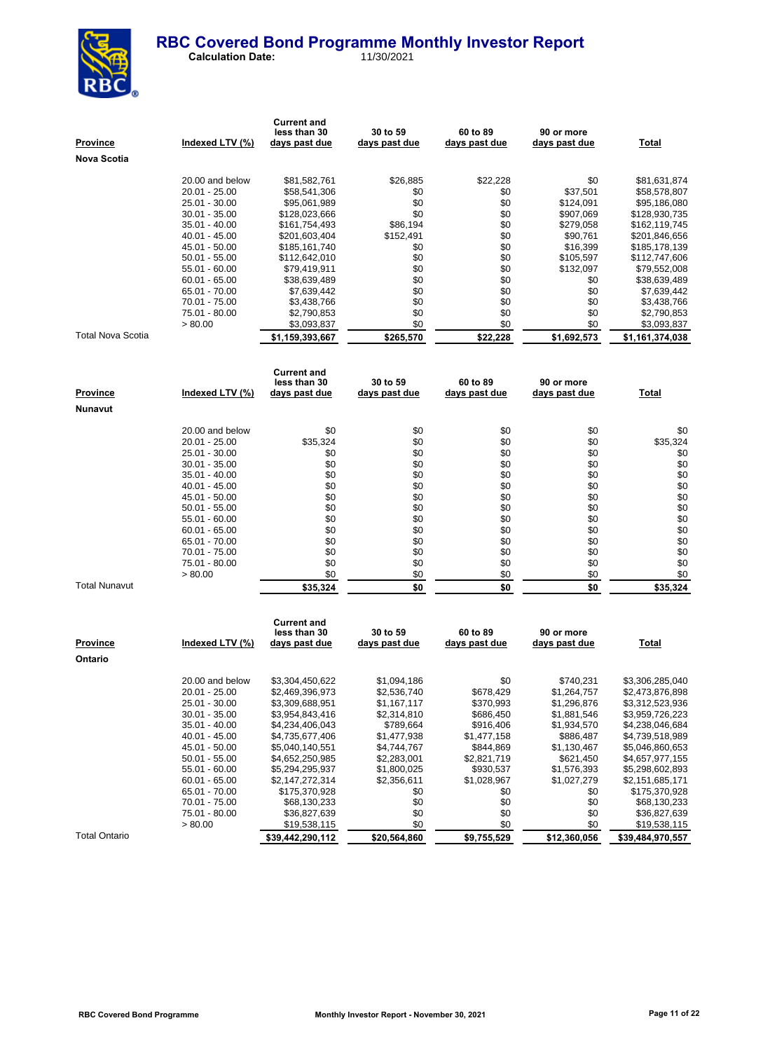

 **Calculation Date:** 11/30/2021

| Province             | Indexed LTV (%)                | <b>Current and</b><br>less than 30<br>days past due | 30 to 59<br><u>days past due</u> | 60 to 89<br>days past due | 90 or more<br>days past due | <b>Total</b>                   |
|----------------------|--------------------------------|-----------------------------------------------------|----------------------------------|---------------------------|-----------------------------|--------------------------------|
| Nova Scotia          |                                |                                                     |                                  |                           |                             |                                |
|                      |                                |                                                     |                                  |                           |                             |                                |
|                      | 20.00 and below                | \$81,582,761                                        | \$26,885                         | \$22,228                  | \$0                         | \$81,631,874                   |
|                      | 20.01 - 25.00                  | \$58,541,306                                        | \$0                              | \$0                       | \$37,501                    | \$58,578,807                   |
|                      | 25.01 - 30.00                  | \$95,061,989                                        | \$0<br>\$0                       | \$0                       | \$124,091                   | \$95,186,080                   |
|                      | 30.01 - 35.00<br>35.01 - 40.00 | \$128,023,666<br>\$161,754,493                      | \$86,194                         | \$0<br>\$0                | \$907,069<br>\$279,058      | \$128,930,735<br>\$162,119,745 |
|                      | 40.01 - 45.00                  | \$201,603,404                                       | \$152,491                        | \$0                       | \$90,761                    | \$201,846,656                  |
|                      | 45.01 - 50.00                  | \$185,161,740                                       | \$0                              | \$0                       | \$16,399                    | \$185,178,139                  |
|                      | 50.01 - 55.00                  | \$112,642,010                                       | \$0                              | \$0                       | \$105,597                   | \$112,747,606                  |
|                      | 55.01 - 60.00                  | \$79,419,911                                        | \$0                              | \$0                       | \$132,097                   | \$79,552,008                   |
|                      | 60.01 - 65.00                  | \$38,639,489                                        | \$0                              | \$0                       | \$0                         | \$38,639,489                   |
|                      | 65.01 - 70.00                  | \$7,639,442                                         | \$0                              | \$0                       | \$0                         | \$7,639,442                    |
|                      | 70.01 - 75.00                  | \$3,438,766                                         | \$0                              | \$0                       | \$0                         | \$3,438,766                    |
|                      | 75.01 - 80.00                  | \$2,790,853                                         | \$0                              | \$0                       | \$0                         | \$2,790,853                    |
|                      | > 80.00                        | \$3,093,837                                         | \$0                              | \$0                       | \$0                         | \$3,093,837                    |
| Total Nova Scotia    |                                | \$1,159,393,667                                     | \$265,570                        | \$22,228                  | \$1,692,573                 | \$1,161,374,038                |
|                      |                                |                                                     |                                  |                           |                             |                                |
|                      |                                | <b>Current and</b><br>less than 30                  | 30 to 59                         | 60 to 89                  | 90 or more                  |                                |
| Province             | Indexed LTV (%)                | <u>days past due</u>                                | <u>days past due</u>             | days past due             | <u>days past due</u>        | <b>Total</b>                   |
| Nunavut              |                                |                                                     |                                  |                           |                             |                                |
|                      |                                |                                                     |                                  |                           |                             |                                |
|                      | 20.00 and below                | \$0                                                 | \$0                              | \$0                       | \$0                         | \$0                            |
|                      | 20.01 - 25.00                  | \$35,324                                            | \$0                              | \$0                       | \$0                         | \$35,324                       |
|                      | 25.01 - 30.00                  | \$0                                                 | \$0                              | \$0                       | \$0                         | \$0                            |
|                      | 30.01 - 35.00                  | \$0                                                 | \$0                              | \$0                       | \$0                         | \$0                            |
|                      | 35.01 - 40.00                  | \$0                                                 | \$0                              | \$0                       | \$0                         | \$0                            |
|                      | 40.01 - 45.00                  | \$0                                                 | \$0                              | \$0                       | \$0                         | \$0                            |
|                      | 45.01 - 50.00                  | \$0                                                 | \$0                              | \$0                       | \$0                         | \$0                            |
|                      | 50.01 - 55.00                  | \$0                                                 | \$0                              | \$0                       | \$0                         | \$0                            |
|                      | 55.01 - 60.00                  | \$0                                                 | \$0                              | \$0                       | \$0                         | \$0                            |
|                      | 60.01 - 65.00                  | \$0                                                 | \$0                              | \$0                       | \$0                         | \$0                            |
|                      | 65.01 - 70.00                  | \$0                                                 | \$0                              | \$0                       | \$0                         | \$0                            |
|                      | 70.01 - 75.00                  | \$0                                                 | \$0                              | \$0                       | \$0                         | \$0                            |
|                      | 75.01 - 80.00                  | \$0                                                 | \$0                              | \$0                       | \$0                         | \$0                            |
| <b>Total Nunavut</b> | > 80.00                        | \$0                                                 | \$0                              | \$0                       | \$0                         | \$0                            |
|                      |                                | \$35,324                                            | \$0                              | \$0                       | \$0                         | \$35,324                       |
|                      |                                | <b>Current and</b>                                  |                                  |                           |                             |                                |
|                      |                                | less than 30                                        | 30 to 59                         | 60 to 89                  | 90 or more                  |                                |
| Province             | Indexed LTV (%)                | days past due                                       | days past due                    | days past due             | days past due               | Total                          |
| Ontario              |                                |                                                     |                                  |                           |                             |                                |
|                      |                                |                                                     |                                  |                           |                             |                                |
|                      | 20.00 and below                | \$3,304,450,622                                     | \$1,094,186                      | \$0                       | \$740,231                   | \$3,306,285,040                |
|                      | 20.01 - 25.00                  | \$2,469,396,973                                     | \$2,536,740                      | \$678,429                 | \$1,264,757                 | \$2,473,876,898                |
|                      | 25.01 - 30.00                  | \$3,309,688,951                                     | \$1,167,117                      | \$370,993                 | \$1,296,876                 | \$3,312,523,936                |
|                      | 30.01 - 35.00                  | \$3,954,843,416                                     | \$2,314,810                      | \$686,450                 | \$1,881,546                 | \$3,959,726,223                |
|                      | 35.01 - 40.00                  | \$4,234,406,043                                     | \$789,664                        | \$916,406                 | \$1,934,570                 | \$4,238,046,684                |
|                      | 40.01 - 45.00                  | \$4,735,677,406                                     | \$1,477,938                      | \$1,477,158               | \$886,487                   | \$4,739,518,989                |
|                      | 45.01 - 50.00                  | \$5,040,140,551                                     | \$4,744,767                      | \$844,869                 | \$1,130,467                 | \$5,046,860,653                |

Total Ontario **820,442,290,112 \$20,564,860 \$9,755,529 \$12,360,056 \$39,484,970,557** 

 $\frac{$19,538,115}{0}$  \$0 \$0 \$0

50.01 - 55.00 \$4,652,250,985 \$2,283,001 \$2,821,719 \$621,450 \$4,657,977,155 55.01 - 60.00 \$5,294,295,937 \$1,800,025 \$930,537 \$1,576,393 \$5,298,602,893<br>  $60.01 - 65.00$  \$2,147,272,314 \$2,356,611 \$1,028,967 \$1,027,279 \$2,151,685,171 60.01 - 65.00 \$2,147,272,314 \$2,356,611 \$1,028,967 \$1,027,279 \$2,151,685,171<br>65.01 - 57.00 \$175,370,928 \$0 \$0 \$0 \$175,370,928

70.01 - 75.00 \$68,130,233 \$0 \$0 \$0 \$68,130,233  $75.01 - 80.00$   $$36,827,639$   $$0$   $$0$   $$0$   $$0$   $$0$   $$0$   $$36,827,639$   $$0,538,115$   $$0$   $$19,538,115$ 

 $$175,370,928$ <br> $$68,130,233$ <br> $$69$   $$68,130,233$ <br> $$69$   $$68,130,233$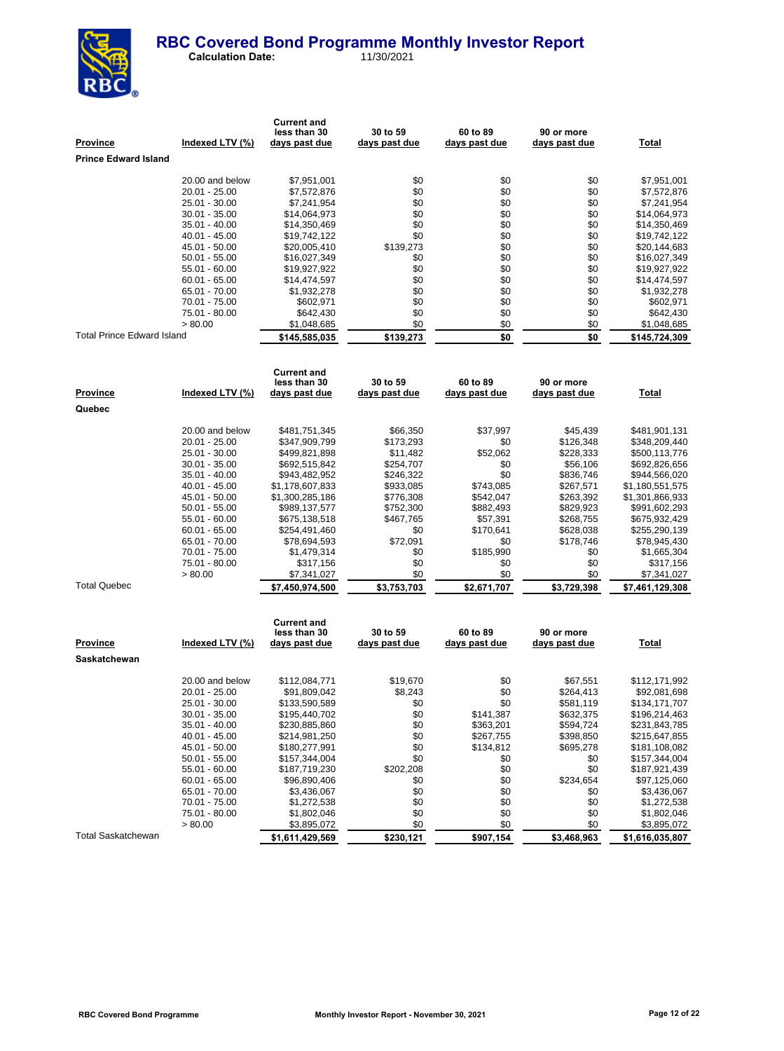

 **Calculation Date:** 11/30/2021

| Prince Edward Island<br>20.00 and below<br>\$7,951,001<br>\$0<br>\$0<br>\$0<br>\$0<br>20.01 - 25.00<br>\$7,572,876<br>\$0<br>\$0<br>\$0<br>\$0<br>\$0<br>25.01 - 30.00<br>\$7,241,954<br>\$0<br>\$0<br>\$0<br>30.01 - 35.00<br>\$14,064,973<br>\$0<br>\$0<br>\$0<br>35.01 - 40.00<br>\$14,350,469<br>\$0<br>\$0<br>\$0<br>40.01 - 45.00<br>\$19,742,122<br>\$139,273<br>\$0<br>\$0<br>45.01 - 50.00<br>\$20,005,410<br>\$0<br>\$0<br>50.01 - 55.00<br>\$16,027,349<br>\$0<br>\$0<br>\$0<br>\$0<br>55.01 - 60.00<br>\$19,927,922<br>\$0<br>\$0<br>\$0<br>60.01 - 65.00<br>\$14,474,597<br>\$0<br>\$0<br>\$0<br>65.01 - 70.00<br>\$1,932,278<br>\$0<br>\$0<br>\$0<br>70.01 - 75.00<br>\$602,971<br>\$0<br>\$0<br>\$0<br>75.01 - 80.00<br>\$642,430<br>\$0<br>> 80.00<br>\$0<br>\$0<br>\$1,048,685<br>Total Prince Edward Island<br>\$0<br>\$0<br>\$139,273<br>\$145,585,035<br><b>Current and</b><br>less than 30<br>30 to 59<br>60 to 89<br>90 or more<br><u>Province</u><br><u>Indexed LTV (%)</u><br><u>days past due</u><br><u>days past due</u><br>days past due<br>days past due<br><u>Total</u><br>Quebec<br>20.00 and below<br>\$66,350<br>\$37,997<br>\$481,751,345<br>\$45,439<br>\$481,901,131<br>20.01 - 25.00<br>\$173,293<br>\$0<br>\$126,348<br>\$347,909,799<br>25.01 - 30.00<br>\$499,821,898<br>\$11,482<br>\$52,062<br>\$228,333<br>\$0<br>30.01 - 35.00<br>\$692,515,842<br>\$254,707<br>\$56,106<br>\$0<br>35.01 - 40.00<br>\$943,482,952<br>\$246,322<br>\$836,746<br>40.01 - 45.00<br>\$1,178,607,833<br>\$933,085<br>\$743,085<br>\$267,571<br>\$776,308<br>\$542,047<br>45.01 - 50.00<br>\$1,300,285,186<br>\$263,392<br>50.01 - 55.00<br>\$752,300<br>\$882,493<br>\$829,923<br>\$989,137,577<br>55.01 - 60.00<br>\$675,138,518<br>\$467,765<br>\$57,391<br>\$268,755<br>\$170,641<br>60.01 - 65.00<br>\$254,491,460<br>\$0<br>\$628,038<br>\$72,091<br>65.01 - 70.00<br>\$78,694,593<br>\$0<br>\$178,746<br>\$185,990<br>70.01 - 75.00<br>\$1,479,314<br>\$0<br>\$0<br>75.01 - 80.00<br>\$0<br>\$0<br>\$0<br>\$317,156<br>\$0<br>\$0<br>\$0<br>>80.00<br>\$7,341,027<br><b>Total Quebec</b><br>\$3,753,703<br>\$2,671,707<br>\$3,729,398<br>\$7,461,129,308<br>\$7,450,974,500<br><b>Current and</b> | \$7,951,001<br>\$7,572,876<br>\$7,241,954<br>\$14,064,973<br>\$14,350,469<br>\$19,742,122<br>\$20,144,683<br>\$16,027,349<br>\$19,927,922<br>\$14,474,597<br>\$1,932,278<br>\$602,971<br>\$642,430<br>\$1,048,685<br>\$145,724,309 |
|-------------------------------------------------------------------------------------------------------------------------------------------------------------------------------------------------------------------------------------------------------------------------------------------------------------------------------------------------------------------------------------------------------------------------------------------------------------------------------------------------------------------------------------------------------------------------------------------------------------------------------------------------------------------------------------------------------------------------------------------------------------------------------------------------------------------------------------------------------------------------------------------------------------------------------------------------------------------------------------------------------------------------------------------------------------------------------------------------------------------------------------------------------------------------------------------------------------------------------------------------------------------------------------------------------------------------------------------------------------------------------------------------------------------------------------------------------------------------------------------------------------------------------------------------------------------------------------------------------------------------------------------------------------------------------------------------------------------------------------------------------------------------------------------------------------------------------------------------------------------------------------------------------------------------------------------------------------------------------------------------------------------------------------------------------------------------------------------------------------------------------------------------------------------------------------------------------------------------------|------------------------------------------------------------------------------------------------------------------------------------------------------------------------------------------------------------------------------------|
|                                                                                                                                                                                                                                                                                                                                                                                                                                                                                                                                                                                                                                                                                                                                                                                                                                                                                                                                                                                                                                                                                                                                                                                                                                                                                                                                                                                                                                                                                                                                                                                                                                                                                                                                                                                                                                                                                                                                                                                                                                                                                                                                                                                                                               |                                                                                                                                                                                                                                    |
|                                                                                                                                                                                                                                                                                                                                                                                                                                                                                                                                                                                                                                                                                                                                                                                                                                                                                                                                                                                                                                                                                                                                                                                                                                                                                                                                                                                                                                                                                                                                                                                                                                                                                                                                                                                                                                                                                                                                                                                                                                                                                                                                                                                                                               |                                                                                                                                                                                                                                    |
|                                                                                                                                                                                                                                                                                                                                                                                                                                                                                                                                                                                                                                                                                                                                                                                                                                                                                                                                                                                                                                                                                                                                                                                                                                                                                                                                                                                                                                                                                                                                                                                                                                                                                                                                                                                                                                                                                                                                                                                                                                                                                                                                                                                                                               |                                                                                                                                                                                                                                    |
|                                                                                                                                                                                                                                                                                                                                                                                                                                                                                                                                                                                                                                                                                                                                                                                                                                                                                                                                                                                                                                                                                                                                                                                                                                                                                                                                                                                                                                                                                                                                                                                                                                                                                                                                                                                                                                                                                                                                                                                                                                                                                                                                                                                                                               |                                                                                                                                                                                                                                    |
|                                                                                                                                                                                                                                                                                                                                                                                                                                                                                                                                                                                                                                                                                                                                                                                                                                                                                                                                                                                                                                                                                                                                                                                                                                                                                                                                                                                                                                                                                                                                                                                                                                                                                                                                                                                                                                                                                                                                                                                                                                                                                                                                                                                                                               |                                                                                                                                                                                                                                    |
|                                                                                                                                                                                                                                                                                                                                                                                                                                                                                                                                                                                                                                                                                                                                                                                                                                                                                                                                                                                                                                                                                                                                                                                                                                                                                                                                                                                                                                                                                                                                                                                                                                                                                                                                                                                                                                                                                                                                                                                                                                                                                                                                                                                                                               |                                                                                                                                                                                                                                    |
|                                                                                                                                                                                                                                                                                                                                                                                                                                                                                                                                                                                                                                                                                                                                                                                                                                                                                                                                                                                                                                                                                                                                                                                                                                                                                                                                                                                                                                                                                                                                                                                                                                                                                                                                                                                                                                                                                                                                                                                                                                                                                                                                                                                                                               |                                                                                                                                                                                                                                    |
|                                                                                                                                                                                                                                                                                                                                                                                                                                                                                                                                                                                                                                                                                                                                                                                                                                                                                                                                                                                                                                                                                                                                                                                                                                                                                                                                                                                                                                                                                                                                                                                                                                                                                                                                                                                                                                                                                                                                                                                                                                                                                                                                                                                                                               |                                                                                                                                                                                                                                    |
|                                                                                                                                                                                                                                                                                                                                                                                                                                                                                                                                                                                                                                                                                                                                                                                                                                                                                                                                                                                                                                                                                                                                                                                                                                                                                                                                                                                                                                                                                                                                                                                                                                                                                                                                                                                                                                                                                                                                                                                                                                                                                                                                                                                                                               |                                                                                                                                                                                                                                    |
|                                                                                                                                                                                                                                                                                                                                                                                                                                                                                                                                                                                                                                                                                                                                                                                                                                                                                                                                                                                                                                                                                                                                                                                                                                                                                                                                                                                                                                                                                                                                                                                                                                                                                                                                                                                                                                                                                                                                                                                                                                                                                                                                                                                                                               |                                                                                                                                                                                                                                    |
|                                                                                                                                                                                                                                                                                                                                                                                                                                                                                                                                                                                                                                                                                                                                                                                                                                                                                                                                                                                                                                                                                                                                                                                                                                                                                                                                                                                                                                                                                                                                                                                                                                                                                                                                                                                                                                                                                                                                                                                                                                                                                                                                                                                                                               |                                                                                                                                                                                                                                    |
|                                                                                                                                                                                                                                                                                                                                                                                                                                                                                                                                                                                                                                                                                                                                                                                                                                                                                                                                                                                                                                                                                                                                                                                                                                                                                                                                                                                                                                                                                                                                                                                                                                                                                                                                                                                                                                                                                                                                                                                                                                                                                                                                                                                                                               |                                                                                                                                                                                                                                    |
|                                                                                                                                                                                                                                                                                                                                                                                                                                                                                                                                                                                                                                                                                                                                                                                                                                                                                                                                                                                                                                                                                                                                                                                                                                                                                                                                                                                                                                                                                                                                                                                                                                                                                                                                                                                                                                                                                                                                                                                                                                                                                                                                                                                                                               |                                                                                                                                                                                                                                    |
|                                                                                                                                                                                                                                                                                                                                                                                                                                                                                                                                                                                                                                                                                                                                                                                                                                                                                                                                                                                                                                                                                                                                                                                                                                                                                                                                                                                                                                                                                                                                                                                                                                                                                                                                                                                                                                                                                                                                                                                                                                                                                                                                                                                                                               |                                                                                                                                                                                                                                    |
|                                                                                                                                                                                                                                                                                                                                                                                                                                                                                                                                                                                                                                                                                                                                                                                                                                                                                                                                                                                                                                                                                                                                                                                                                                                                                                                                                                                                                                                                                                                                                                                                                                                                                                                                                                                                                                                                                                                                                                                                                                                                                                                                                                                                                               |                                                                                                                                                                                                                                    |
|                                                                                                                                                                                                                                                                                                                                                                                                                                                                                                                                                                                                                                                                                                                                                                                                                                                                                                                                                                                                                                                                                                                                                                                                                                                                                                                                                                                                                                                                                                                                                                                                                                                                                                                                                                                                                                                                                                                                                                                                                                                                                                                                                                                                                               |                                                                                                                                                                                                                                    |
|                                                                                                                                                                                                                                                                                                                                                                                                                                                                                                                                                                                                                                                                                                                                                                                                                                                                                                                                                                                                                                                                                                                                                                                                                                                                                                                                                                                                                                                                                                                                                                                                                                                                                                                                                                                                                                                                                                                                                                                                                                                                                                                                                                                                                               |                                                                                                                                                                                                                                    |
|                                                                                                                                                                                                                                                                                                                                                                                                                                                                                                                                                                                                                                                                                                                                                                                                                                                                                                                                                                                                                                                                                                                                                                                                                                                                                                                                                                                                                                                                                                                                                                                                                                                                                                                                                                                                                                                                                                                                                                                                                                                                                                                                                                                                                               |                                                                                                                                                                                                                                    |
|                                                                                                                                                                                                                                                                                                                                                                                                                                                                                                                                                                                                                                                                                                                                                                                                                                                                                                                                                                                                                                                                                                                                                                                                                                                                                                                                                                                                                                                                                                                                                                                                                                                                                                                                                                                                                                                                                                                                                                                                                                                                                                                                                                                                                               |                                                                                                                                                                                                                                    |
|                                                                                                                                                                                                                                                                                                                                                                                                                                                                                                                                                                                                                                                                                                                                                                                                                                                                                                                                                                                                                                                                                                                                                                                                                                                                                                                                                                                                                                                                                                                                                                                                                                                                                                                                                                                                                                                                                                                                                                                                                                                                                                                                                                                                                               |                                                                                                                                                                                                                                    |
|                                                                                                                                                                                                                                                                                                                                                                                                                                                                                                                                                                                                                                                                                                                                                                                                                                                                                                                                                                                                                                                                                                                                                                                                                                                                                                                                                                                                                                                                                                                                                                                                                                                                                                                                                                                                                                                                                                                                                                                                                                                                                                                                                                                                                               | \$348,209,440                                                                                                                                                                                                                      |
|                                                                                                                                                                                                                                                                                                                                                                                                                                                                                                                                                                                                                                                                                                                                                                                                                                                                                                                                                                                                                                                                                                                                                                                                                                                                                                                                                                                                                                                                                                                                                                                                                                                                                                                                                                                                                                                                                                                                                                                                                                                                                                                                                                                                                               | \$500,113,776                                                                                                                                                                                                                      |
|                                                                                                                                                                                                                                                                                                                                                                                                                                                                                                                                                                                                                                                                                                                                                                                                                                                                                                                                                                                                                                                                                                                                                                                                                                                                                                                                                                                                                                                                                                                                                                                                                                                                                                                                                                                                                                                                                                                                                                                                                                                                                                                                                                                                                               | \$692,826,656                                                                                                                                                                                                                      |
|                                                                                                                                                                                                                                                                                                                                                                                                                                                                                                                                                                                                                                                                                                                                                                                                                                                                                                                                                                                                                                                                                                                                                                                                                                                                                                                                                                                                                                                                                                                                                                                                                                                                                                                                                                                                                                                                                                                                                                                                                                                                                                                                                                                                                               | \$944,566,020                                                                                                                                                                                                                      |
|                                                                                                                                                                                                                                                                                                                                                                                                                                                                                                                                                                                                                                                                                                                                                                                                                                                                                                                                                                                                                                                                                                                                                                                                                                                                                                                                                                                                                                                                                                                                                                                                                                                                                                                                                                                                                                                                                                                                                                                                                                                                                                                                                                                                                               | \$1,180,551,575                                                                                                                                                                                                                    |
|                                                                                                                                                                                                                                                                                                                                                                                                                                                                                                                                                                                                                                                                                                                                                                                                                                                                                                                                                                                                                                                                                                                                                                                                                                                                                                                                                                                                                                                                                                                                                                                                                                                                                                                                                                                                                                                                                                                                                                                                                                                                                                                                                                                                                               | \$1,301,866,933                                                                                                                                                                                                                    |
|                                                                                                                                                                                                                                                                                                                                                                                                                                                                                                                                                                                                                                                                                                                                                                                                                                                                                                                                                                                                                                                                                                                                                                                                                                                                                                                                                                                                                                                                                                                                                                                                                                                                                                                                                                                                                                                                                                                                                                                                                                                                                                                                                                                                                               | \$991,602,293                                                                                                                                                                                                                      |
|                                                                                                                                                                                                                                                                                                                                                                                                                                                                                                                                                                                                                                                                                                                                                                                                                                                                                                                                                                                                                                                                                                                                                                                                                                                                                                                                                                                                                                                                                                                                                                                                                                                                                                                                                                                                                                                                                                                                                                                                                                                                                                                                                                                                                               | \$675,932,429                                                                                                                                                                                                                      |
|                                                                                                                                                                                                                                                                                                                                                                                                                                                                                                                                                                                                                                                                                                                                                                                                                                                                                                                                                                                                                                                                                                                                                                                                                                                                                                                                                                                                                                                                                                                                                                                                                                                                                                                                                                                                                                                                                                                                                                                                                                                                                                                                                                                                                               | \$255,290,139                                                                                                                                                                                                                      |
|                                                                                                                                                                                                                                                                                                                                                                                                                                                                                                                                                                                                                                                                                                                                                                                                                                                                                                                                                                                                                                                                                                                                                                                                                                                                                                                                                                                                                                                                                                                                                                                                                                                                                                                                                                                                                                                                                                                                                                                                                                                                                                                                                                                                                               | \$78,945,430                                                                                                                                                                                                                       |
|                                                                                                                                                                                                                                                                                                                                                                                                                                                                                                                                                                                                                                                                                                                                                                                                                                                                                                                                                                                                                                                                                                                                                                                                                                                                                                                                                                                                                                                                                                                                                                                                                                                                                                                                                                                                                                                                                                                                                                                                                                                                                                                                                                                                                               | \$1,665,304                                                                                                                                                                                                                        |
|                                                                                                                                                                                                                                                                                                                                                                                                                                                                                                                                                                                                                                                                                                                                                                                                                                                                                                                                                                                                                                                                                                                                                                                                                                                                                                                                                                                                                                                                                                                                                                                                                                                                                                                                                                                                                                                                                                                                                                                                                                                                                                                                                                                                                               | \$317,156                                                                                                                                                                                                                          |
|                                                                                                                                                                                                                                                                                                                                                                                                                                                                                                                                                                                                                                                                                                                                                                                                                                                                                                                                                                                                                                                                                                                                                                                                                                                                                                                                                                                                                                                                                                                                                                                                                                                                                                                                                                                                                                                                                                                                                                                                                                                                                                                                                                                                                               | \$7,341,027                                                                                                                                                                                                                        |
|                                                                                                                                                                                                                                                                                                                                                                                                                                                                                                                                                                                                                                                                                                                                                                                                                                                                                                                                                                                                                                                                                                                                                                                                                                                                                                                                                                                                                                                                                                                                                                                                                                                                                                                                                                                                                                                                                                                                                                                                                                                                                                                                                                                                                               |                                                                                                                                                                                                                                    |
|                                                                                                                                                                                                                                                                                                                                                                                                                                                                                                                                                                                                                                                                                                                                                                                                                                                                                                                                                                                                                                                                                                                                                                                                                                                                                                                                                                                                                                                                                                                                                                                                                                                                                                                                                                                                                                                                                                                                                                                                                                                                                                                                                                                                                               |                                                                                                                                                                                                                                    |
| less than 30<br>30 to 59<br>60 to 89<br>90 or more                                                                                                                                                                                                                                                                                                                                                                                                                                                                                                                                                                                                                                                                                                                                                                                                                                                                                                                                                                                                                                                                                                                                                                                                                                                                                                                                                                                                                                                                                                                                                                                                                                                                                                                                                                                                                                                                                                                                                                                                                                                                                                                                                                            |                                                                                                                                                                                                                                    |
| Indexed LTV (%)<br>Total<br>Province<br>days past due<br><u>days past due</u><br>days past due<br>days past due                                                                                                                                                                                                                                                                                                                                                                                                                                                                                                                                                                                                                                                                                                                                                                                                                                                                                                                                                                                                                                                                                                                                                                                                                                                                                                                                                                                                                                                                                                                                                                                                                                                                                                                                                                                                                                                                                                                                                                                                                                                                                                               |                                                                                                                                                                                                                                    |
| Saskatchewan                                                                                                                                                                                                                                                                                                                                                                                                                                                                                                                                                                                                                                                                                                                                                                                                                                                                                                                                                                                                                                                                                                                                                                                                                                                                                                                                                                                                                                                                                                                                                                                                                                                                                                                                                                                                                                                                                                                                                                                                                                                                                                                                                                                                                  |                                                                                                                                                                                                                                    |
| 20.00 and below<br>\$19,670<br>\$0<br>\$112,084,771<br>\$67,551                                                                                                                                                                                                                                                                                                                                                                                                                                                                                                                                                                                                                                                                                                                                                                                                                                                                                                                                                                                                                                                                                                                                                                                                                                                                                                                                                                                                                                                                                                                                                                                                                                                                                                                                                                                                                                                                                                                                                                                                                                                                                                                                                               | \$112,171,992                                                                                                                                                                                                                      |
| 20.01 - 25.00<br>\$8,243<br>\$0<br>\$91,809,042<br>\$264,413                                                                                                                                                                                                                                                                                                                                                                                                                                                                                                                                                                                                                                                                                                                                                                                                                                                                                                                                                                                                                                                                                                                                                                                                                                                                                                                                                                                                                                                                                                                                                                                                                                                                                                                                                                                                                                                                                                                                                                                                                                                                                                                                                                  | \$92,081,698                                                                                                                                                                                                                       |
| \$0<br>25.01 - 30.00<br>\$0<br>\$133,590,589<br>\$581,119                                                                                                                                                                                                                                                                                                                                                                                                                                                                                                                                                                                                                                                                                                                                                                                                                                                                                                                                                                                                                                                                                                                                                                                                                                                                                                                                                                                                                                                                                                                                                                                                                                                                                                                                                                                                                                                                                                                                                                                                                                                                                                                                                                     | \$134,171,707                                                                                                                                                                                                                      |
| 30.01 - 35.00<br>\$195,440,702<br>\$0<br>\$141,387<br>\$632,375                                                                                                                                                                                                                                                                                                                                                                                                                                                                                                                                                                                                                                                                                                                                                                                                                                                                                                                                                                                                                                                                                                                                                                                                                                                                                                                                                                                                                                                                                                                                                                                                                                                                                                                                                                                                                                                                                                                                                                                                                                                                                                                                                               | \$196,214,463                                                                                                                                                                                                                      |
| \$0<br>35.01 - 40.00<br>\$230,885,860<br>\$363,201<br>\$594,724                                                                                                                                                                                                                                                                                                                                                                                                                                                                                                                                                                                                                                                                                                                                                                                                                                                                                                                                                                                                                                                                                                                                                                                                                                                                                                                                                                                                                                                                                                                                                                                                                                                                                                                                                                                                                                                                                                                                                                                                                                                                                                                                                               | \$231,843,785                                                                                                                                                                                                                      |
| 40.01 - 45.00<br>\$214,981,250<br>\$0<br>\$267,755<br>\$398,850                                                                                                                                                                                                                                                                                                                                                                                                                                                                                                                                                                                                                                                                                                                                                                                                                                                                                                                                                                                                                                                                                                                                                                                                                                                                                                                                                                                                                                                                                                                                                                                                                                                                                                                                                                                                                                                                                                                                                                                                                                                                                                                                                               | \$215,647,855                                                                                                                                                                                                                      |
| \$0<br>45.01 - 50.00<br>\$134,812<br>\$695,278<br>\$180,277,991<br>\$0                                                                                                                                                                                                                                                                                                                                                                                                                                                                                                                                                                                                                                                                                                                                                                                                                                                                                                                                                                                                                                                                                                                                                                                                                                                                                                                                                                                                                                                                                                                                                                                                                                                                                                                                                                                                                                                                                                                                                                                                                                                                                                                                                        | \$181,108,082                                                                                                                                                                                                                      |
| $50.01 - 55.00$<br>\$157,344,004<br>\$0<br>\$0<br>\$202,208<br>\$0<br>\$0<br>55.01 - 60.00<br>\$187,719,230                                                                                                                                                                                                                                                                                                                                                                                                                                                                                                                                                                                                                                                                                                                                                                                                                                                                                                                                                                                                                                                                                                                                                                                                                                                                                                                                                                                                                                                                                                                                                                                                                                                                                                                                                                                                                                                                                                                                                                                                                                                                                                                   | \$157,344,004<br>\$187,921,439                                                                                                                                                                                                     |
| \$0<br>\$0<br>\$234,654<br>$60.01 - 65.00$<br>\$96,890,406                                                                                                                                                                                                                                                                                                                                                                                                                                                                                                                                                                                                                                                                                                                                                                                                                                                                                                                                                                                                                                                                                                                                                                                                                                                                                                                                                                                                                                                                                                                                                                                                                                                                                                                                                                                                                                                                                                                                                                                                                                                                                                                                                                    | \$97,125,060                                                                                                                                                                                                                       |
| \$0<br>\$3,436,067<br>\$0<br>65.01 - 70.00<br>\$0                                                                                                                                                                                                                                                                                                                                                                                                                                                                                                                                                                                                                                                                                                                                                                                                                                                                                                                                                                                                                                                                                                                                                                                                                                                                                                                                                                                                                                                                                                                                                                                                                                                                                                                                                                                                                                                                                                                                                                                                                                                                                                                                                                             | \$3,436,067                                                                                                                                                                                                                        |
| \$0<br>\$0<br>\$0<br>70.01 - 75.00<br>\$1,272,538                                                                                                                                                                                                                                                                                                                                                                                                                                                                                                                                                                                                                                                                                                                                                                                                                                                                                                                                                                                                                                                                                                                                                                                                                                                                                                                                                                                                                                                                                                                                                                                                                                                                                                                                                                                                                                                                                                                                                                                                                                                                                                                                                                             | \$1,272,538                                                                                                                                                                                                                        |
| \$0<br>\$0<br>\$0<br>75.01 - 80.00<br>\$1,802,046                                                                                                                                                                                                                                                                                                                                                                                                                                                                                                                                                                                                                                                                                                                                                                                                                                                                                                                                                                                                                                                                                                                                                                                                                                                                                                                                                                                                                                                                                                                                                                                                                                                                                                                                                                                                                                                                                                                                                                                                                                                                                                                                                                             | \$1,802,046                                                                                                                                                                                                                        |
| > 80.00<br>\$3,895,072<br>\$0<br>\$0<br>\$0<br>\$3,895,072                                                                                                                                                                                                                                                                                                                                                                                                                                                                                                                                                                                                                                                                                                                                                                                                                                                                                                                                                                                                                                                                                                                                                                                                                                                                                                                                                                                                                                                                                                                                                                                                                                                                                                                                                                                                                                                                                                                                                                                                                                                                                                                                                                    |                                                                                                                                                                                                                                    |

Total Saskatchewan **81,611,429,569 \$230,121 \$907,154 \$3,468,963 \$1,616,035,807** 

 $\frac{$3,895,072}{$11,429,569}$  \$230,121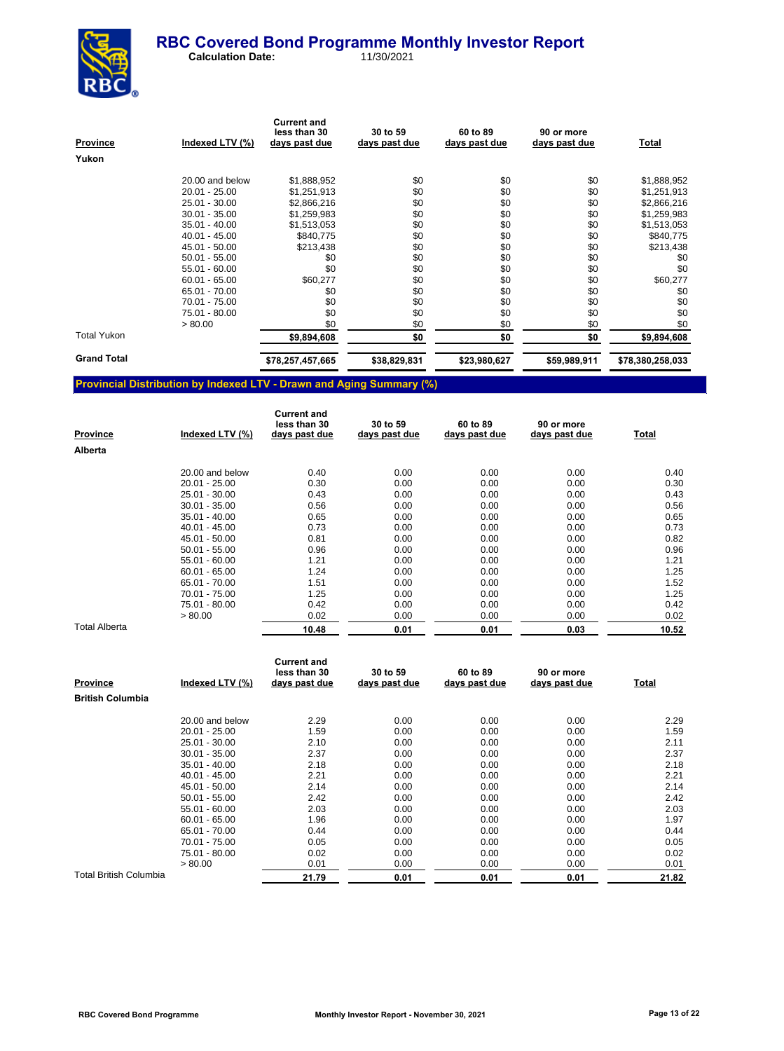

 **Calculation Date:** 11/30/2021

| Province           | Indexed LTV (%) | <b>Current and</b><br>less than 30<br>days past due | 30 to 59<br>days past due | 60 to 89<br>days past due | 90 or more<br>days past due | <u>Total</u>     |
|--------------------|-----------------|-----------------------------------------------------|---------------------------|---------------------------|-----------------------------|------------------|
| Yukon              |                 |                                                     |                           |                           |                             |                  |
|                    | 20.00 and below | \$1,888,952                                         | \$0                       | \$0                       | \$0                         | \$1,888,952      |
|                    | 20.01 - 25.00   | \$1,251,913                                         | \$0                       | \$0                       | \$0                         | \$1,251,913      |
|                    | 25.01 - 30.00   | \$2,866,216                                         | \$0                       | \$0                       | \$0                         | \$2,866,216      |
|                    | $30.01 - 35.00$ | \$1,259,983                                         | \$0                       | \$0                       | \$0                         | \$1,259,983      |
|                    | $35.01 - 40.00$ | \$1,513,053                                         | \$0                       | \$0                       | \$0                         | \$1,513,053      |
|                    | $40.01 - 45.00$ | \$840,775                                           | \$0                       | \$0                       | \$0                         | \$840,775        |
|                    | 45.01 - 50.00   | \$213,438                                           | \$0                       | \$0                       | \$0                         | \$213,438        |
|                    | $50.01 - 55.00$ | \$0                                                 | \$0                       | \$0                       | \$0                         | \$0              |
|                    | $55.01 - 60.00$ | \$0                                                 | \$0                       | \$0                       | \$0                         | \$0              |
|                    | $60.01 - 65.00$ | \$60,277                                            | \$0                       | \$0                       | \$0                         | \$60,277         |
|                    | 65.01 - 70.00   | \$0                                                 | \$0                       | \$0                       | \$0                         | \$0              |
|                    | 70.01 - 75.00   | \$0                                                 | \$0                       | \$0                       | \$0                         | \$0              |
|                    | 75.01 - 80.00   | \$0                                                 | \$0                       | \$0                       | \$0                         | \$0              |
|                    | > 80.00         | \$0                                                 | \$0                       | \$0                       | \$0                         | \$0              |
| <b>Total Yukon</b> |                 | \$9,894,608                                         | \$0                       | \$0                       | \$0                         | \$9,894,608      |
| <b>Grand Total</b> |                 | \$78,257,457,665                                    | \$38,829,831              | \$23,980,627              | \$59,989,911                | \$78,380,258,033 |

## **Provincial Distribution by Indexed LTV - Drawn and Aging Summary (%)**

| <b>Province</b> | Indexed LTV (%) | <b>Current and</b><br>less than 30<br>days past due | 30 to 59<br>days past due | 60 to 89<br>days past due | 90 or more<br>days past due | Total |
|-----------------|-----------------|-----------------------------------------------------|---------------------------|---------------------------|-----------------------------|-------|
| Alberta         |                 |                                                     |                           |                           |                             |       |
|                 | 20.00 and below | 0.40                                                | 0.00                      | 0.00                      | 0.00                        | 0.40  |
|                 | $20.01 - 25.00$ | 0.30                                                | 0.00                      | 0.00                      | 0.00                        | 0.30  |
|                 | 25.01 - 30.00   | 0.43                                                | 0.00                      | 0.00                      | 0.00                        | 0.43  |
|                 | $30.01 - 35.00$ | 0.56                                                | 0.00                      | 0.00                      | 0.00                        | 0.56  |
|                 | $35.01 - 40.00$ | 0.65                                                | 0.00                      | 0.00                      | 0.00                        | 0.65  |
|                 | $40.01 - 45.00$ | 0.73                                                | 0.00                      | 0.00                      | 0.00                        | 0.73  |
|                 | 45.01 - 50.00   | 0.81                                                | 0.00                      | 0.00                      | 0.00                        | 0.82  |
|                 | $50.01 - 55.00$ | 0.96                                                | 0.00                      | 0.00                      | 0.00                        | 0.96  |
|                 | $55.01 - 60.00$ | 1.21                                                | 0.00                      | 0.00                      | 0.00                        | 1.21  |
|                 | $60.01 - 65.00$ | 1.24                                                | 0.00                      | 0.00                      | 0.00                        | 1.25  |
|                 | 65.01 - 70.00   | 1.51                                                | 0.00                      | 0.00                      | 0.00                        | 1.52  |
|                 | 70.01 - 75.00   | 1.25                                                | 0.00                      | 0.00                      | 0.00                        | 1.25  |
|                 | 75.01 - 80.00   | 0.42                                                | 0.00                      | 0.00                      | 0.00                        | 0.42  |
|                 | > 80.00         | 0.02                                                | 0.00                      | 0.00                      | 0.00                        | 0.02  |
| Total Alberta   |                 | 10.48                                               | 0.01                      | 0.01                      | 0.03                        | 10.52 |

| <b>Province</b>         | Indexed LTV (%) | <b>Current and</b><br>less than 30<br>days past due | 30 to 59<br>days past due | 60 to 89<br>days past due | 90 or more<br>days past due | Total |
|-------------------------|-----------------|-----------------------------------------------------|---------------------------|---------------------------|-----------------------------|-------|
| <b>British Columbia</b> |                 |                                                     |                           |                           |                             |       |
|                         | 20.00 and below | 2.29                                                | 0.00                      | 0.00                      | 0.00                        | 2.29  |
|                         | $20.01 - 25.00$ | 1.59                                                | 0.00                      | 0.00                      | 0.00                        | 1.59  |
|                         | 25.01 - 30.00   | 2.10                                                | 0.00                      | 0.00                      | 0.00                        | 2.11  |
|                         | $30.01 - 35.00$ | 2.37                                                | 0.00                      | 0.00                      | 0.00                        | 2.37  |
|                         | $35.01 - 40.00$ | 2.18                                                | 0.00                      | 0.00                      | 0.00                        | 2.18  |
|                         | $40.01 - 45.00$ | 2.21                                                | 0.00                      | 0.00                      | 0.00                        | 2.21  |
|                         | 45.01 - 50.00   | 2.14                                                | 0.00                      | 0.00                      | 0.00                        | 2.14  |
|                         | $50.01 - 55.00$ | 2.42                                                | 0.00                      | 0.00                      | 0.00                        | 2.42  |
|                         | $55.01 - 60.00$ | 2.03                                                | 0.00                      | 0.00                      | 0.00                        | 2.03  |
|                         | $60.01 - 65.00$ | 1.96                                                | 0.00                      | 0.00                      | 0.00                        | 1.97  |
|                         | 65.01 - 70.00   | 0.44                                                | 0.00                      | 0.00                      | 0.00                        | 0.44  |
|                         | 70.01 - 75.00   | 0.05                                                | 0.00                      | 0.00                      | 0.00                        | 0.05  |
|                         | 75.01 - 80.00   | 0.02                                                | 0.00                      | 0.00                      | 0.00                        | 0.02  |
|                         | > 80.00         | 0.01                                                | 0.00                      | 0.00                      | 0.00                        | 0.01  |
| Total British Columbia  |                 | 21.79                                               | 0.01                      | 0.01                      | 0.01                        | 21.82 |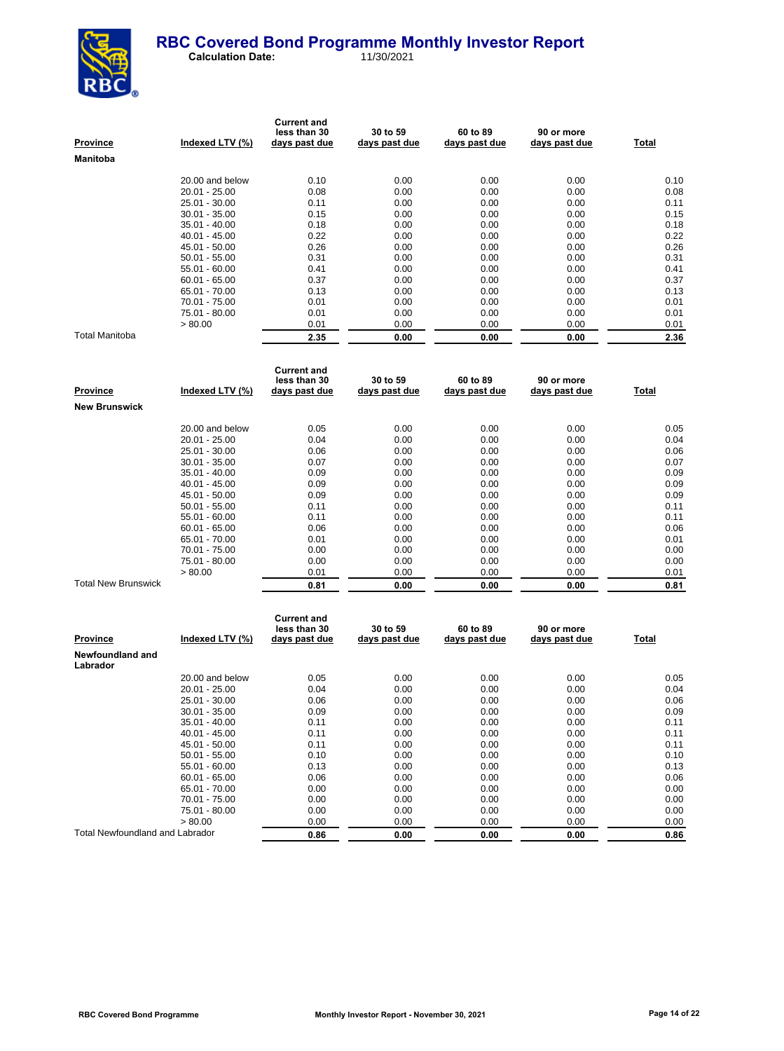

| <b>Province</b>       | Indexed LTV (%) | <b>Current and</b><br>less than 30<br>days past due | 30 to 59<br>days past due | 60 to 89<br>days past due | 90 or more<br>days past due | Total |
|-----------------------|-----------------|-----------------------------------------------------|---------------------------|---------------------------|-----------------------------|-------|
| <b>Manitoba</b>       |                 |                                                     |                           |                           |                             |       |
|                       | 20.00 and below | 0.10                                                | 0.00                      | 0.00                      | 0.00                        | 0.10  |
|                       | $20.01 - 25.00$ | 0.08                                                | 0.00                      | 0.00                      | 0.00                        | 0.08  |
|                       | 25.01 - 30.00   | 0.11                                                | 0.00                      | 0.00                      | 0.00                        | 0.11  |
|                       | $30.01 - 35.00$ | 0.15                                                | 0.00                      | 0.00                      | 0.00                        | 0.15  |
|                       | $35.01 - 40.00$ | 0.18                                                | 0.00                      | 0.00                      | 0.00                        | 0.18  |
|                       | $40.01 - 45.00$ | 0.22                                                | 0.00                      | 0.00                      | 0.00                        | 0.22  |
|                       | 45.01 - 50.00   | 0.26                                                | 0.00                      | 0.00                      | 0.00                        | 0.26  |
|                       | $50.01 - 55.00$ | 0.31                                                | 0.00                      | 0.00                      | 0.00                        | 0.31  |
|                       | $55.01 - 60.00$ | 0.41                                                | 0.00                      | 0.00                      | 0.00                        | 0.41  |
|                       | $60.01 - 65.00$ | 0.37                                                | 0.00                      | 0.00                      | 0.00                        | 0.37  |
|                       | 65.01 - 70.00   | 0.13                                                | 0.00                      | 0.00                      | 0.00                        | 0.13  |
|                       | 70.01 - 75.00   | 0.01                                                | 0.00                      | 0.00                      | 0.00                        | 0.01  |
|                       | 75.01 - 80.00   | 0.01                                                | 0.00                      | 0.00                      | 0.00                        | 0.01  |
|                       | > 80.00         | 0.01                                                | 0.00                      | 0.00                      | 0.00                        | 0.01  |
| <b>Total Manitoba</b> |                 | 2.35                                                | 0.00                      | 0.00                      | 0.00                        | 2.36  |

| Province                   | Indexed LTV (%) | <b>Current and</b><br>less than 30<br>days past due | 30 to 59<br>days past due | 60 to 89<br>days past due | 90 or more<br>days past due | Total |
|----------------------------|-----------------|-----------------------------------------------------|---------------------------|---------------------------|-----------------------------|-------|
| <b>New Brunswick</b>       |                 |                                                     |                           |                           |                             |       |
|                            | 20.00 and below | 0.05                                                | 0.00                      | 0.00                      | 0.00                        | 0.05  |
|                            | $20.01 - 25.00$ | 0.04                                                | 0.00                      | 0.00                      | 0.00                        | 0.04  |
|                            | 25.01 - 30.00   | 0.06                                                | 0.00                      | 0.00                      | 0.00                        | 0.06  |
|                            | $30.01 - 35.00$ | 0.07                                                | 0.00                      | 0.00                      | 0.00                        | 0.07  |
|                            | $35.01 - 40.00$ | 0.09                                                | 0.00                      | 0.00                      | 0.00                        | 0.09  |
|                            | $40.01 - 45.00$ | 0.09                                                | 0.00                      | 0.00                      | 0.00                        | 0.09  |
|                            | 45.01 - 50.00   | 0.09                                                | 0.00                      | 0.00                      | 0.00                        | 0.09  |
|                            | $50.01 - 55.00$ | 0.11                                                | 0.00                      | 0.00                      | 0.00                        | 0.11  |
|                            | $55.01 - 60.00$ | 0.11                                                | 0.00                      | 0.00                      | 0.00                        | 0.11  |
|                            | $60.01 - 65.00$ | 0.06                                                | 0.00                      | 0.00                      | 0.00                        | 0.06  |
|                            | 65.01 - 70.00   | 0.01                                                | 0.00                      | 0.00                      | 0.00                        | 0.01  |
|                            | 70.01 - 75.00   | 0.00                                                | 0.00                      | 0.00                      | 0.00                        | 0.00  |
|                            | 75.01 - 80.00   | 0.00                                                | 0.00                      | 0.00                      | 0.00                        | 0.00  |
|                            | > 80.00         | 0.01                                                | 0.00                      | 0.00                      | 0.00                        | 0.01  |
| <b>Total New Brunswick</b> |                 | 0.81                                                | 0.00                      | 0.00                      | 0.00                        | 0.81  |

| Province                        | Indexed LTV (%) | <b>Current and</b><br>less than 30<br>days past due | 30 to 59<br>days past due | 60 to 89<br>days past due | 90 or more<br>days past due | Total |
|---------------------------------|-----------------|-----------------------------------------------------|---------------------------|---------------------------|-----------------------------|-------|
| Newfoundland and<br>Labrador    |                 |                                                     |                           |                           |                             |       |
|                                 | 20.00 and below | 0.05                                                | 0.00                      | 0.00                      | 0.00                        | 0.05  |
|                                 | $20.01 - 25.00$ | 0.04                                                | 0.00                      | 0.00                      | 0.00                        | 0.04  |
|                                 | 25.01 - 30.00   | 0.06                                                | 0.00                      | 0.00                      | 0.00                        | 0.06  |
|                                 | $30.01 - 35.00$ | 0.09                                                | 0.00                      | 0.00                      | 0.00                        | 0.09  |
|                                 | $35.01 - 40.00$ | 0.11                                                | 0.00                      | 0.00                      | 0.00                        | 0.11  |
|                                 | $40.01 - 45.00$ | 0.11                                                | 0.00                      | 0.00                      | 0.00                        | 0.11  |
|                                 | $45.01 - 50.00$ | 0.11                                                | 0.00                      | 0.00                      | 0.00                        | 0.11  |
|                                 | $50.01 - 55.00$ | 0.10                                                | 0.00                      | 0.00                      | 0.00                        | 0.10  |
|                                 | $55.01 - 60.00$ | 0.13                                                | 0.00                      | 0.00                      | 0.00                        | 0.13  |
|                                 | $60.01 - 65.00$ | 0.06                                                | 0.00                      | 0.00                      | 0.00                        | 0.06  |
|                                 | 65.01 - 70.00   | 0.00                                                | 0.00                      | 0.00                      | 0.00                        | 0.00  |
|                                 | 70.01 - 75.00   | 0.00                                                | 0.00                      | 0.00                      | 0.00                        | 0.00  |
|                                 | 75.01 - 80.00   | 0.00                                                | 0.00                      | 0.00                      | 0.00                        | 0.00  |
|                                 | > 80.00         | 0.00                                                | 0.00                      | 0.00                      | 0.00                        | 0.00  |
| Total Newfoundland and Labrador |                 | 0.86                                                | 0.00                      | 0.00                      | 0.00                        | 0.86  |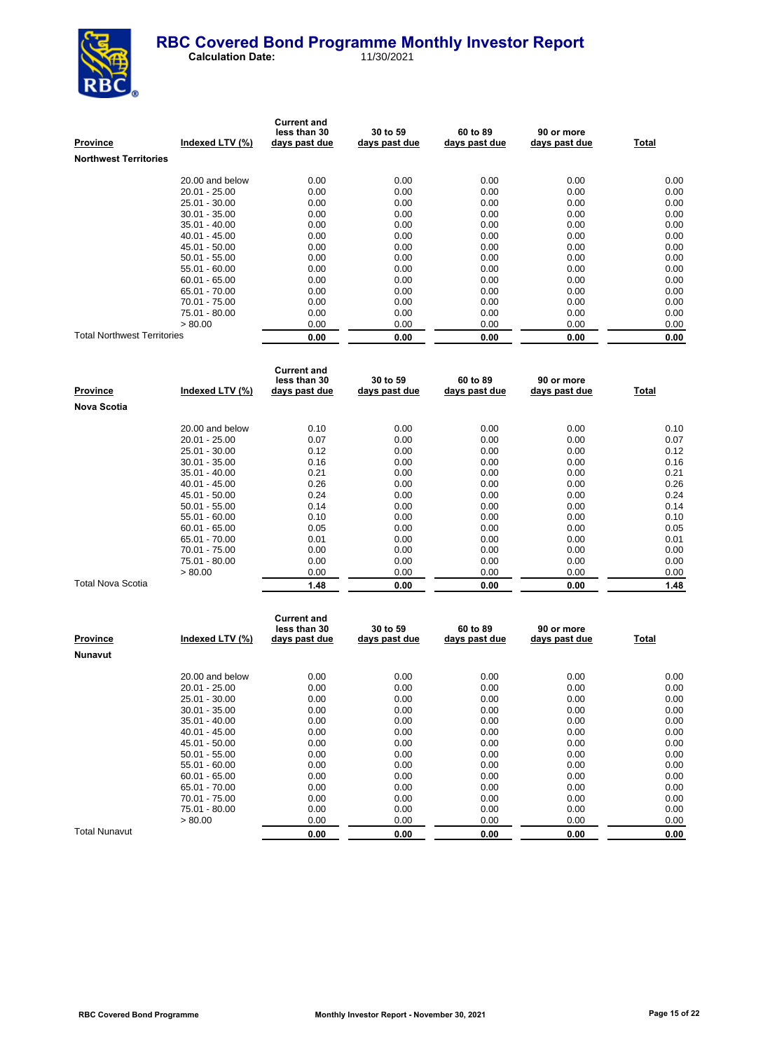

| <b>Province</b>                    | Indexed LTV (%) | <b>Current and</b><br>less than 30<br>days past due | 30 to 59<br>days past due | 60 to 89<br>days past due | 90 or more<br>days past due | Total |
|------------------------------------|-----------------|-----------------------------------------------------|---------------------------|---------------------------|-----------------------------|-------|
| <b>Northwest Territories</b>       |                 |                                                     |                           |                           |                             |       |
|                                    | 20.00 and below | 0.00                                                | 0.00                      | 0.00                      | 0.00                        | 0.00  |
|                                    | $20.01 - 25.00$ | 0.00                                                | 0.00                      | 0.00                      | 0.00                        | 0.00  |
|                                    | $25.01 - 30.00$ | 0.00                                                | 0.00                      | 0.00                      | 0.00                        | 0.00  |
|                                    | $30.01 - 35.00$ | 0.00                                                | 0.00                      | 0.00                      | 0.00                        | 0.00  |
|                                    | $35.01 - 40.00$ | 0.00                                                | 0.00                      | 0.00                      | 0.00                        | 0.00  |
|                                    | $40.01 - 45.00$ | 0.00                                                | 0.00                      | 0.00                      | 0.00                        | 0.00  |
|                                    | 45.01 - 50.00   | 0.00                                                | 0.00                      | 0.00                      | 0.00                        | 0.00  |
|                                    | $50.01 - 55.00$ | 0.00                                                | 0.00                      | 0.00                      | 0.00                        | 0.00  |
|                                    | $55.01 - 60.00$ | 0.00                                                | 0.00                      | 0.00                      | 0.00                        | 0.00  |
|                                    | $60.01 - 65.00$ | 0.00                                                | 0.00                      | 0.00                      | 0.00                        | 0.00  |
|                                    | 65.01 - 70.00   | 0.00                                                | 0.00                      | 0.00                      | 0.00                        | 0.00  |
|                                    | 70.01 - 75.00   | 0.00                                                | 0.00                      | 0.00                      | 0.00                        | 0.00  |
|                                    | 75.01 - 80.00   | 0.00                                                | 0.00                      | 0.00                      | 0.00                        | 0.00  |
|                                    | > 80.00         | 0.00                                                | 0.00                      | 0.00                      | 0.00                        | 0.00  |
| <b>Total Northwest Territories</b> |                 | 0.00                                                | 0.00                      | 0.00                      | 0.00                        | 0.00  |

| Province                 | Indexed LTV (%) | <b>Current and</b><br>less than 30<br>days past due | 30 to 59<br>days past due | 60 to 89<br>days past due | 90 or more<br>days past due | Total |
|--------------------------|-----------------|-----------------------------------------------------|---------------------------|---------------------------|-----------------------------|-------|
| <b>Nova Scotia</b>       |                 |                                                     |                           |                           |                             |       |
|                          | 20.00 and below | 0.10                                                | 0.00                      | 0.00                      | 0.00                        | 0.10  |
|                          | $20.01 - 25.00$ | 0.07                                                | 0.00                      | 0.00                      | 0.00                        | 0.07  |
|                          | $25.01 - 30.00$ | 0.12                                                | 0.00                      | 0.00                      | 0.00                        | 0.12  |
|                          | $30.01 - 35.00$ | 0.16                                                | 0.00                      | 0.00                      | 0.00                        | 0.16  |
|                          | $35.01 - 40.00$ | 0.21                                                | 0.00                      | 0.00                      | 0.00                        | 0.21  |
|                          | $40.01 - 45.00$ | 0.26                                                | 0.00                      | 0.00                      | 0.00                        | 0.26  |
|                          | 45.01 - 50.00   | 0.24                                                | 0.00                      | 0.00                      | 0.00                        | 0.24  |
|                          | $50.01 - 55.00$ | 0.14                                                | 0.00                      | 0.00                      | 0.00                        | 0.14  |
|                          | 55.01 - 60.00   | 0.10                                                | 0.00                      | 0.00                      | 0.00                        | 0.10  |
|                          | $60.01 - 65.00$ | 0.05                                                | 0.00                      | 0.00                      | 0.00                        | 0.05  |
|                          | 65.01 - 70.00   | 0.01                                                | 0.00                      | 0.00                      | 0.00                        | 0.01  |
|                          | 70.01 - 75.00   | 0.00                                                | 0.00                      | 0.00                      | 0.00                        | 0.00  |
|                          | 75.01 - 80.00   | 0.00                                                | 0.00                      | 0.00                      | 0.00                        | 0.00  |
|                          | > 80.00         | 0.00                                                | 0.00                      | 0.00                      | 0.00                        | 0.00  |
| <b>Total Nova Scotia</b> |                 | 1.48                                                | 0.00                      | 0.00                      | 0.00                        | 1.48  |

| <b>Province</b>      | Indexed LTV (%) | <b>Current and</b><br>less than 30<br>days past due | 30 to 59<br>days past due | 60 to 89<br>days past due | 90 or more<br>days past due | <u>Total</u> |
|----------------------|-----------------|-----------------------------------------------------|---------------------------|---------------------------|-----------------------------|--------------|
| <b>Nunavut</b>       |                 |                                                     |                           |                           |                             |              |
|                      | 20.00 and below | 0.00                                                | 0.00                      | 0.00                      | 0.00                        | 0.00         |
|                      | $20.01 - 25.00$ | 0.00                                                | 0.00                      | 0.00                      | 0.00                        | 0.00         |
|                      | 25.01 - 30.00   | 0.00                                                | 0.00                      | 0.00                      | 0.00                        | 0.00         |
|                      | $30.01 - 35.00$ | 0.00                                                | 0.00                      | 0.00                      | 0.00                        | 0.00         |
|                      | $35.01 - 40.00$ | 0.00                                                | 0.00                      | 0.00                      | 0.00                        | 0.00         |
|                      | $40.01 - 45.00$ | 0.00                                                | 0.00                      | 0.00                      | 0.00                        | 0.00         |
|                      | 45.01 - 50.00   | 0.00                                                | 0.00                      | 0.00                      | 0.00                        | 0.00         |
|                      | $50.01 - 55.00$ | 0.00                                                | 0.00                      | 0.00                      | 0.00                        | 0.00         |
|                      | $55.01 - 60.00$ | 0.00                                                | 0.00                      | 0.00                      | 0.00                        | 0.00         |
|                      | $60.01 - 65.00$ | 0.00                                                | 0.00                      | 0.00                      | 0.00                        | 0.00         |
|                      | 65.01 - 70.00   | 0.00                                                | 0.00                      | 0.00                      | 0.00                        | 0.00         |
|                      | 70.01 - 75.00   | 0.00                                                | 0.00                      | 0.00                      | 0.00                        | 0.00         |
|                      | 75.01 - 80.00   | 0.00                                                | 0.00                      | 0.00                      | 0.00                        | 0.00         |
|                      | > 80.00         | 0.00                                                | 0.00                      | 0.00                      | 0.00                        | 0.00         |
| <b>Total Nunavut</b> |                 | 0.00                                                | 0.00                      | 0.00                      | 0.00                        | 0.00         |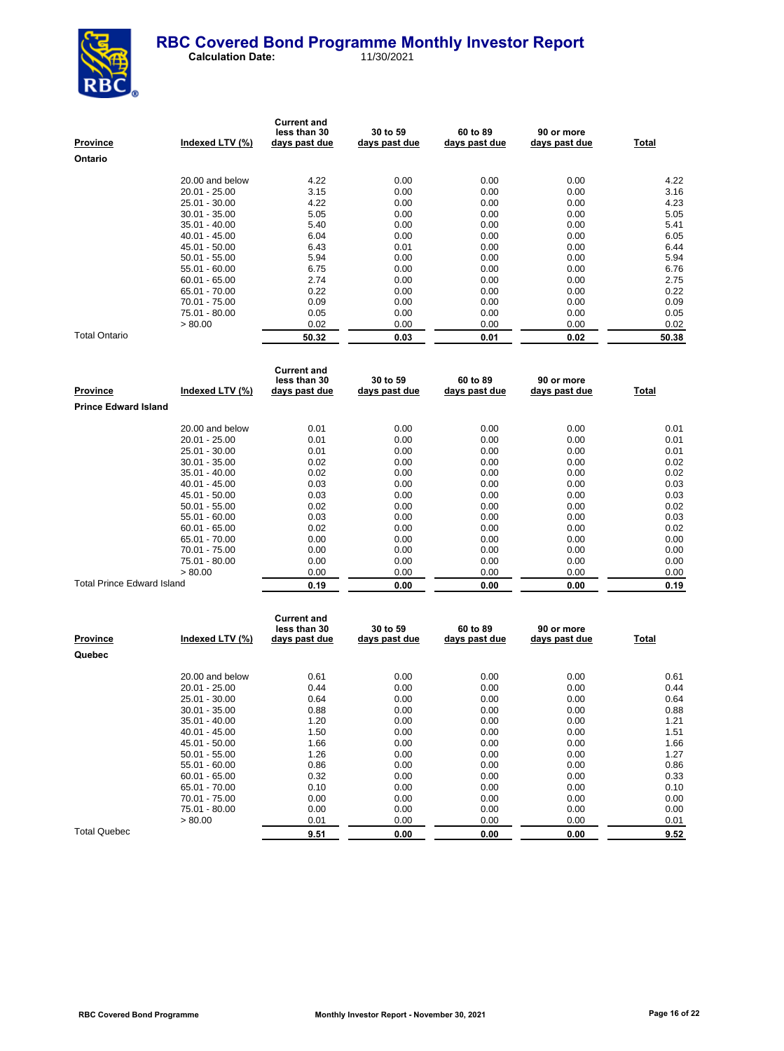

| Province             | Indexed LTV (%) | <b>Current and</b><br>less than 30<br>days past due | 30 to 59<br>days past due | 60 to 89<br>days past due | 90 or more<br>days past due | Total |
|----------------------|-----------------|-----------------------------------------------------|---------------------------|---------------------------|-----------------------------|-------|
| Ontario              |                 |                                                     |                           |                           |                             |       |
|                      | 20.00 and below | 4.22                                                | 0.00                      | 0.00                      | 0.00                        | 4.22  |
|                      | $20.01 - 25.00$ | 3.15                                                | 0.00                      | 0.00                      | 0.00                        | 3.16  |
|                      | 25.01 - 30.00   | 4.22                                                | 0.00                      | 0.00                      | 0.00                        | 4.23  |
|                      | $30.01 - 35.00$ | 5.05                                                | 0.00                      | 0.00                      | 0.00                        | 5.05  |
|                      | $35.01 - 40.00$ | 5.40                                                | 0.00                      | 0.00                      | 0.00                        | 5.41  |
|                      | $40.01 - 45.00$ | 6.04                                                | 0.00                      | 0.00                      | 0.00                        | 6.05  |
|                      | 45.01 - 50.00   | 6.43                                                | 0.01                      | 0.00                      | 0.00                        | 6.44  |
|                      | $50.01 - 55.00$ | 5.94                                                | 0.00                      | 0.00                      | 0.00                        | 5.94  |
|                      | $55.01 - 60.00$ | 6.75                                                | 0.00                      | 0.00                      | 0.00                        | 6.76  |
|                      | $60.01 - 65.00$ | 2.74                                                | 0.00                      | 0.00                      | 0.00                        | 2.75  |
|                      | 65.01 - 70.00   | 0.22                                                | 0.00                      | 0.00                      | 0.00                        | 0.22  |
|                      | 70.01 - 75.00   | 0.09                                                | 0.00                      | 0.00                      | 0.00                        | 0.09  |
|                      | 75.01 - 80.00   | 0.05                                                | 0.00                      | 0.00                      | 0.00                        | 0.05  |
|                      | > 80.00         | 0.02                                                | 0.00                      | 0.00                      | 0.00                        | 0.02  |
| <b>Total Ontario</b> |                 | 50.32                                               | 0.03                      | 0.01                      | 0.02                        | 50.38 |

| Province                    | Indexed LTV (%) | <b>Current and</b><br>less than 30<br>days past due | 30 to 59<br>days past due | 60 to 89<br>days past due | 90 or more<br>days past due | Total |
|-----------------------------|-----------------|-----------------------------------------------------|---------------------------|---------------------------|-----------------------------|-------|
| <b>Prince Edward Island</b> |                 |                                                     |                           |                           |                             |       |
|                             | 20.00 and below | 0.01                                                | 0.00                      | 0.00                      | 0.00                        | 0.01  |
|                             | $20.01 - 25.00$ | 0.01                                                | 0.00                      | 0.00                      | 0.00                        | 0.01  |
|                             | 25.01 - 30.00   | 0.01                                                | 0.00                      | 0.00                      | 0.00                        | 0.01  |
|                             | $30.01 - 35.00$ | 0.02                                                | 0.00                      | 0.00                      | 0.00                        | 0.02  |
|                             | $35.01 - 40.00$ | 0.02                                                | 0.00                      | 0.00                      | 0.00                        | 0.02  |
|                             | $40.01 - 45.00$ | 0.03                                                | 0.00                      | 0.00                      | 0.00                        | 0.03  |
|                             | 45.01 - 50.00   | 0.03                                                | 0.00                      | 0.00                      | 0.00                        | 0.03  |
|                             | $50.01 - 55.00$ | 0.02                                                | 0.00                      | 0.00                      | 0.00                        | 0.02  |
|                             | $55.01 - 60.00$ | 0.03                                                | 0.00                      | 0.00                      | 0.00                        | 0.03  |
|                             | $60.01 - 65.00$ | 0.02                                                | 0.00                      | 0.00                      | 0.00                        | 0.02  |
|                             | 65.01 - 70.00   | 0.00                                                | 0.00                      | 0.00                      | 0.00                        | 0.00  |
|                             | 70.01 - 75.00   | 0.00                                                | 0.00                      | 0.00                      | 0.00                        | 0.00  |
|                             | 75.01 - 80.00   | 0.00                                                | 0.00                      | 0.00                      | 0.00                        | 0.00  |
|                             | > 80.00         | 0.00                                                | 0.00                      | 0.00                      | 0.00                        | 0.00  |
| Total Prince Edward Island  |                 | 0.19                                                | 0.00                      | 0.00                      | 0.00                        | 0.19  |

| <b>Province</b>     | Indexed LTV (%) | <b>Current and</b><br>less than 30<br>days past due | 30 to 59<br>days past due | 60 to 89<br>days past due | 90 or more<br>days past due | <b>Total</b> |
|---------------------|-----------------|-----------------------------------------------------|---------------------------|---------------------------|-----------------------------|--------------|
| Quebec              |                 |                                                     |                           |                           |                             |              |
|                     | 20.00 and below | 0.61                                                | 0.00                      | 0.00                      | 0.00                        | 0.61         |
|                     | $20.01 - 25.00$ | 0.44                                                | 0.00                      | 0.00                      | 0.00                        | 0.44         |
|                     | 25.01 - 30.00   | 0.64                                                | 0.00                      | 0.00                      | 0.00                        | 0.64         |
|                     | $30.01 - 35.00$ | 0.88                                                | 0.00                      | 0.00                      | 0.00                        | 0.88         |
|                     | $35.01 - 40.00$ | 1.20                                                | 0.00                      | 0.00                      | 0.00                        | 1.21         |
|                     | $40.01 - 45.00$ | 1.50                                                | 0.00                      | 0.00                      | 0.00                        | 1.51         |
|                     | 45.01 - 50.00   | 1.66                                                | 0.00                      | 0.00                      | 0.00                        | 1.66         |
|                     | $50.01 - 55.00$ | 1.26                                                | 0.00                      | 0.00                      | 0.00                        | 1.27         |
|                     | 55.01 - 60.00   | 0.86                                                | 0.00                      | 0.00                      | 0.00                        | 0.86         |
|                     | $60.01 - 65.00$ | 0.32                                                | 0.00                      | 0.00                      | 0.00                        | 0.33         |
|                     | 65.01 - 70.00   | 0.10                                                | 0.00                      | 0.00                      | 0.00                        | 0.10         |
|                     | 70.01 - 75.00   | 0.00                                                | 0.00                      | 0.00                      | 0.00                        | 0.00         |
|                     | 75.01 - 80.00   | 0.00                                                | 0.00                      | 0.00                      | 0.00                        | 0.00         |
|                     | > 80.00         | 0.01                                                | 0.00                      | 0.00                      | 0.00                        | 0.01         |
| <b>Total Quebec</b> |                 | 9.51                                                | 0.00                      | 0.00                      | 0.00                        | 9.52         |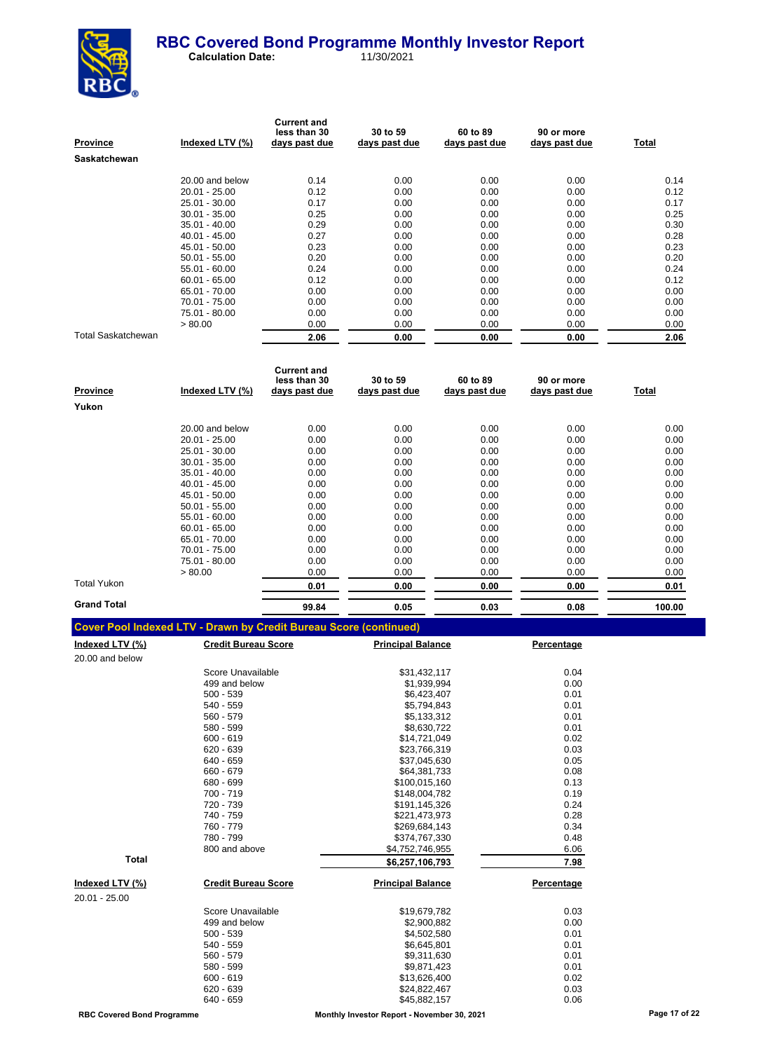

| Prov <u>ince</u>   | Indexed LTV (%) | <b>Current and</b><br>less than 30<br>days past due | 30 to 59<br>days past due | 60 to 89<br>days past due | 90 or more<br>days past due | Total |
|--------------------|-----------------|-----------------------------------------------------|---------------------------|---------------------------|-----------------------------|-------|
| Saskatchewan       |                 |                                                     |                           |                           |                             |       |
|                    | 20.00 and below | 0.14                                                | 0.00                      | 0.00                      | 0.00                        | 0.14  |
|                    | $20.01 - 25.00$ | 0.12                                                | 0.00                      | 0.00                      | 0.00                        | 0.12  |
|                    | 25.01 - 30.00   | 0.17                                                | 0.00                      | 0.00                      | 0.00                        | 0.17  |
|                    | $30.01 - 35.00$ | 0.25                                                | 0.00                      | 0.00                      | 0.00                        | 0.25  |
|                    | $35.01 - 40.00$ | 0.29                                                | 0.00                      | 0.00                      | 0.00                        | 0.30  |
|                    | $40.01 - 45.00$ | 0.27                                                | 0.00                      | 0.00                      | 0.00                        | 0.28  |
|                    | 45.01 - 50.00   | 0.23                                                | 0.00                      | 0.00                      | 0.00                        | 0.23  |
|                    | $50.01 - 55.00$ | 0.20                                                | 0.00                      | 0.00                      | 0.00                        | 0.20  |
|                    | $55.01 - 60.00$ | 0.24                                                | 0.00                      | 0.00                      | 0.00                        | 0.24  |
|                    | $60.01 - 65.00$ | 0.12                                                | 0.00                      | 0.00                      | 0.00                        | 0.12  |
|                    | 65.01 - 70.00   | 0.00                                                | 0.00                      | 0.00                      | 0.00                        | 0.00  |
|                    | 70.01 - 75.00   | 0.00                                                | 0.00                      | 0.00                      | 0.00                        | 0.00  |
|                    | 75.01 - 80.00   | 0.00                                                | 0.00                      | 0.00                      | 0.00                        | 0.00  |
|                    | > 80.00         | 0.00                                                | 0.00                      | 0.00                      | 0.00                        | 0.00  |
| Total Saskatchewan |                 | 2.06                                                | 0.00                      | 0.00                      | 0.00                        | 2.06  |

| <b>Province</b>    | Indexed LTV (%) | <b>Current and</b><br>less than 30<br>days past due | 30 to 59<br>days past due | 60 to 89<br>days past due | 90 or more<br>days past due | Total  |
|--------------------|-----------------|-----------------------------------------------------|---------------------------|---------------------------|-----------------------------|--------|
| Yukon              |                 |                                                     |                           |                           |                             |        |
|                    | 20.00 and below | 0.00                                                | 0.00                      | 0.00                      | 0.00                        | 0.00   |
|                    | $20.01 - 25.00$ | 0.00                                                | 0.00                      | 0.00                      | 0.00                        | 0.00   |
|                    | 25.01 - 30.00   | 0.00                                                | 0.00                      | 0.00                      | 0.00                        | 0.00   |
|                    | $30.01 - 35.00$ | 0.00                                                | 0.00                      | 0.00                      | 0.00                        | 0.00   |
|                    | $35.01 - 40.00$ | 0.00                                                | 0.00                      | 0.00                      | 0.00                        | 0.00   |
|                    | $40.01 - 45.00$ | 0.00                                                | 0.00                      | 0.00                      | 0.00                        | 0.00   |
|                    | 45.01 - 50.00   | 0.00                                                | 0.00                      | 0.00                      | 0.00                        | 0.00   |
|                    | $50.01 - 55.00$ | 0.00                                                | 0.00                      | 0.00                      | 0.00                        | 0.00   |
|                    | $55.01 - 60.00$ | 0.00                                                | 0.00                      | 0.00                      | 0.00                        | 0.00   |
|                    | $60.01 - 65.00$ | 0.00                                                | 0.00                      | 0.00                      | 0.00                        | 0.00   |
|                    | 65.01 - 70.00   | 0.00                                                | 0.00                      | 0.00                      | 0.00                        | 0.00   |
|                    | 70.01 - 75.00   | 0.00                                                | 0.00                      | 0.00                      | 0.00                        | 0.00   |
|                    | 75.01 - 80.00   | 0.00                                                | 0.00                      | 0.00                      | 0.00                        | 0.00   |
|                    | > 80.00         | 0.00                                                | 0.00                      | 0.00                      | 0.00                        | 0.00   |
| Total Yukon        |                 | 0.01                                                | 0.00                      | 0.00                      | 0.00                        | 0.01   |
| <b>Grand Total</b> |                 | 99.84                                               | 0.05                      | 0.03                      | 0.08                        | 100.00 |

| <b>Cover Pool Indexed LTV - Drawn by Credit Bureau Score (continued)</b> |  |  |
|--------------------------------------------------------------------------|--|--|
|                                                                          |  |  |

| <b>Credit Bureau Score</b> | <b>Principal Balance</b> | Percentage |
|----------------------------|--------------------------|------------|
|                            |                          |            |
| Score Unavailable          | \$31,432,117             | 0.04       |
| 499 and below              | \$1,939,994              | 0.00       |
| $500 - 539$                | \$6,423,407              | 0.01       |
| 540 - 559                  | \$5,794,843              | 0.01       |
| 560 - 579                  | \$5,133,312              | 0.01       |
| 580 - 599                  | \$8,630,722              | 0.01       |
| $600 - 619$                | \$14,721,049             | 0.02       |
| $620 - 639$                | \$23,766,319             | 0.03       |
| 640 - 659                  | \$37,045,630             | 0.05       |
| 660 - 679                  | \$64,381,733             | 0.08       |
| 680 - 699                  | \$100,015,160            | 0.13       |
| 700 - 719                  | \$148,004,782            | 0.19       |
| 720 - 739                  | \$191,145,326            | 0.24       |
| 740 - 759                  | \$221,473,973            | 0.28       |
| 760 - 779                  | \$269,684,143            | 0.34       |
| 780 - 799                  | \$374,767,330            | 0.48       |
| 800 and above              | \$4,752,746,955          | 6.06       |
|                            | \$6,257,106,793          | 7.98       |
| <b>Credit Bureau Score</b> | <b>Principal Balance</b> | Percentage |
|                            |                          |            |
| Score Unavailable          | \$19,679,782             | 0.03       |
| 499 and below              | \$2,900,882              | 0.00       |
| $500 - 539$                | \$4,502,580              | 0.01       |
| 540 - 559                  | \$6,645,801              | 0.01       |
| 560 - 579                  | \$9,311,630              | 0.01       |
| 580 - 599                  | \$9,871,423              | 0.01       |
| $600 - 619$                | \$13,626,400             | 0.02       |
| $620 - 639$                | \$24,822,467             | 0.03       |
| 640 - 659                  | \$45,882,157             | 0.06       |
|                            |                          |            |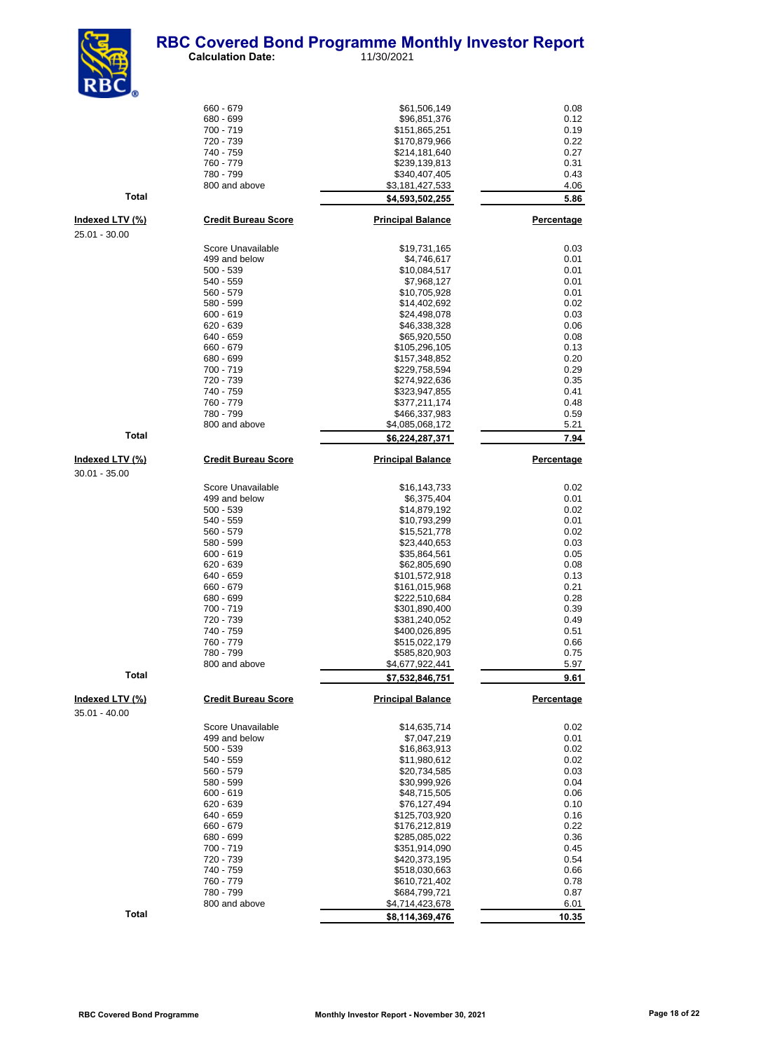

 **Calculation Date:** 11/30/2021

| <b>KDL</b>             |                                    |                                |                   |
|------------------------|------------------------------------|--------------------------------|-------------------|
|                        | 660 - 679                          | \$61,506,149                   | 0.08              |
|                        | 680 - 699                          | \$96,851,376                   | 0.12              |
|                        | 700 - 719                          | \$151,865,251                  | 0.19              |
|                        | 720 - 739                          | \$170,879,966                  | 0.22              |
|                        | 740 - 759<br>760 - 779             | \$214,181,640<br>\$239,139,813 | 0.27<br>0.31      |
|                        | 780 - 799                          | \$340,407,405                  | 0.43              |
|                        | 800 and above                      | \$3,181,427,533                | 4.06              |
| <b>Total</b>           |                                    | \$4,593,502,255                | 5.86              |
| Indexed LTV (%)        | <b>Credit Bureau Score</b>         | <b>Principal Balance</b>       | <b>Percentage</b> |
| 25.01 - 30.00          |                                    |                                |                   |
|                        | Score Unavailable                  | \$19,731,165                   | 0.03              |
|                        | 499 and below                      | \$4,746,617                    | 0.01              |
|                        | $500 - 539$                        | \$10,084,517                   | 0.01              |
|                        | 540 - 559                          | \$7,968,127                    | 0.01              |
|                        | 560 - 579                          | \$10,705,928                   | 0.01              |
|                        | 580 - 599<br>$600 - 619$           | \$14,402,692<br>\$24,498,078   | 0.02<br>0.03      |
|                        | 620 - 639                          | \$46,338,328                   | 0.06              |
|                        | 640 - 659                          | \$65,920,550                   | 0.08              |
|                        | 660 - 679                          | \$105,296,105                  | 0.13              |
|                        | 680 - 699                          | \$157,348,852                  | 0.20              |
|                        | 700 - 719                          | \$229,758,594                  | 0.29              |
|                        | 720 - 739                          | \$274,922,636                  | 0.35              |
|                        | 740 - 759                          | \$323,947,855                  | 0.41              |
|                        | 760 - 779<br>780 - 799             | \$377,211,174<br>\$466,337,983 | 0.48<br>0.59      |
|                        | 800 and above                      | \$4,085,068,172                | 5.21              |
| <b>Total</b>           |                                    | \$6,224,287,371                | 7.94              |
| <u>Indexed LTV (%)</u> | <b>Credit Bureau Score</b>         | <b>Principal Balance</b>       | Percentage        |
|                        |                                    |                                |                   |
| $30.01 - 35.00$        |                                    |                                |                   |
|                        | Score Unavailable<br>499 and below | \$16,143,733<br>\$6,375,404    | 0.02<br>0.01      |
|                        | 500 - 539                          | \$14,879,192                   | 0.02              |
|                        | 540 - 559                          | \$10,793,299                   | 0.01              |
|                        | 560 - 579                          | \$15,521,778                   | 0.02              |
|                        | 580 - 599                          | \$23,440,653                   | 0.03              |
|                        | $600 - 619$                        | \$35,864,561                   | 0.05              |
|                        | 620 - 639                          | \$62,805,690                   | 0.08              |
|                        | 640 - 659                          | \$101,572,918                  | 0.13              |
|                        | 660 - 679<br>680 - 699             | \$161,015,968<br>\$222,510,684 | 0.21<br>0.28      |
|                        | 700 - 719                          | \$301,890,400                  | 0.39              |
|                        | 720 - 739                          | \$381,240,052                  | 0.49              |
|                        | 740 - 759                          | \$400,026,895                  | 0.51              |
|                        | 760 - 779                          | \$515,022,179                  | 0.66              |
|                        | 780 - 799                          | \$585,820,903                  | 0.75              |
|                        | 800 and above                      | \$4,677,922,441                | 5.97              |
| <b>Total</b>           |                                    | \$7,532,846,751                | 9.61              |
| Indexed LTV (%)        | <b>Credit Bureau Score</b>         | <b>Principal Balance</b>       | <b>Percentage</b> |
| 35.01 - 40.00          |                                    |                                |                   |
|                        | Score Unavailable                  | \$14,635,714                   | 0.02              |
|                        | 499 and below                      | \$7,047,219                    | 0.01              |
|                        | 500 - 539<br>540 - 559             | \$16,863,913<br>\$11,980,612   | 0.02<br>0.02      |
|                        | 560 - 579                          | \$20,734,585                   | 0.03              |
|                        | 580 - 599                          | \$30,999,926                   | 0.04              |
|                        | 600 - 619                          | \$48,715,505                   | 0.06              |
|                        | 620 - 639                          | \$76,127,494                   | 0.10              |
|                        | 640 - 659                          | \$125,703,920                  | 0.16              |
|                        | 660 - 679                          | \$176,212,819                  | 0.22              |
|                        | 680 - 699                          | \$285,085,022                  | 0.36              |
|                        | 700 - 719                          | \$351,914,090                  | 0.45              |
|                        | 720 - 739                          | \$420,373,195                  | 0.54              |
|                        | 740 - 759<br>760 - 779             | \$518,030,663<br>\$610,721,402 | 0.66              |
|                        | 780 - 799                          | \$684,799,721                  | 0.78<br>0.87      |
|                        | 800 and above                      | \$4,714,423,678                | 6.01              |
| <b>Total</b>           |                                    | \$8,114,369,476                | 10.35             |

**Indexed LTV**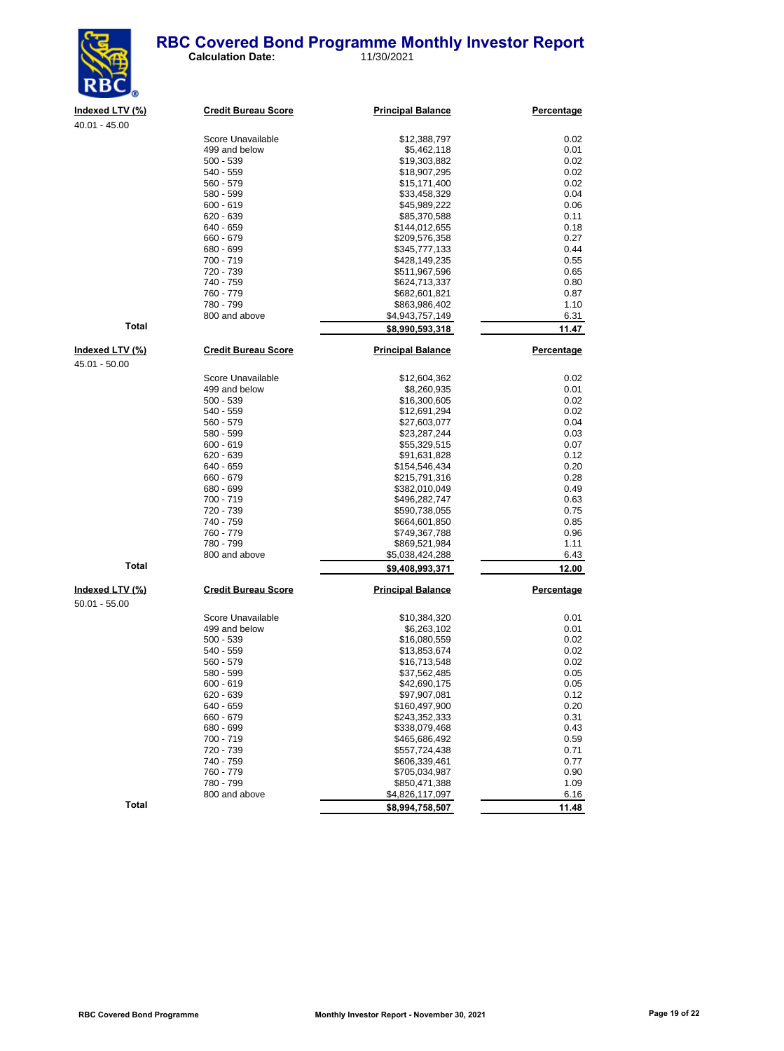### **RBC Covered Bond Programme Monthly Investor Report**<br>
Calculation Date: 11/30/2021 **Calculation Date:**



| Indexed LTV (%) | <b>Credit Bureau Score</b> | <b>Principal Balance</b> | Percentage |
|-----------------|----------------------------|--------------------------|------------|
| $40.01 - 45.00$ |                            |                          |            |
|                 | Score Unavailable          | \$12,388,797             | 0.02       |
|                 | 499 and below              | \$5,462,118              | 0.01       |
|                 | $500 - 539$                | \$19,303,882             | 0.02       |
|                 | $540 - 559$                | \$18,907,295             | 0.02       |
|                 | $560 - 579$                | \$15,171,400             | 0.02       |
|                 | 580 - 599                  | \$33,458,329             | 0.04       |
|                 | $600 - 619$                | \$45,989,222             | 0.06       |
|                 | 620 - 639                  | \$85,370,588             | 0.11       |
|                 | 640 - 659                  | \$144,012,655            | 0.18       |
|                 | 660 - 679                  | \$209,576,358            | 0.27       |
|                 | 680 - 699                  | \$345,777,133            | 0.44       |
|                 | 700 - 719                  | \$428,149,235            | 0.55       |
|                 | 720 - 739                  | \$511,967,596            | 0.65       |
|                 | 740 - 759                  | \$624,713,337            | 0.80       |
|                 | 760 - 779                  | \$682,601,821            | 0.87       |
|                 | 780 - 799                  | \$863,986,402            | 1.10       |
|                 | 800 and above              | \$4,943,757,149          | 6.31       |
| <b>Total</b>    |                            | \$8,990,593,318          | 11.47      |
| Indexed LTV (%) | <b>Credit Bureau Score</b> | <b>Principal Balance</b> | Percentage |
| 45.01 - 50.00   |                            |                          |            |
|                 | Score Unavailable          | \$12,604,362             | 0.02       |
|                 | 499 and below              | \$8,260,935              | 0.01       |
|                 | 500 - 539                  | \$16,300,605             | 0.02       |
|                 | $540 - 559$                | \$12,691,294             | 0.02       |
|                 | 560 - 579                  | \$27,603,077             | 0.04       |
|                 | 580 - 599                  | \$23,287,244             | 0.03       |
|                 | $600 - 619$                | \$55,329,515             | 0.07       |
|                 | $620 - 639$                | \$91,631,828             | 0.12       |
|                 | 640 - 659                  | \$154,546,434            | 0.20       |
|                 | 660 - 679                  | \$215,791,316            | 0.28       |
|                 | 680 - 699                  | \$382,010,049            | 0.49       |
|                 | 700 - 719                  | \$496,282,747            | 0.63       |
|                 | 720 - 739                  | \$590,738,055            | 0.75       |
|                 | 740 - 759                  | \$664,601,850            | 0.85       |
|                 | 760 - 779                  | \$749,367,788            | 0.96       |
|                 | 780 - 799                  | \$869,521,984            | 1.11       |
|                 | 800 and above              | \$5,038,424,288          | 6.43       |
| <b>Total</b>    |                            | \$9,408,993,371          | 12.00      |
|                 |                            |                          |            |

|                 | 720 - 739                  | \$511,967,596            | 0.65       |
|-----------------|----------------------------|--------------------------|------------|
|                 | 740 - 759                  | \$624,713,337            | 0.80       |
|                 | 760 - 779                  | \$682,601,821            | 0.87       |
|                 | 780 - 799                  | \$863,986,402            | 1.10       |
|                 | 800 and above              | \$4,943,757,149          | 6.31       |
| <b>Total</b>    |                            | \$8,990,593,318          | 11.47      |
| Indexed LTV (%) | <b>Credit Bureau Score</b> | <b>Principal Balance</b> | Percentage |
| 45.01 - 50.00   |                            |                          |            |
|                 | Score Unavailable          | \$12,604,362             | 0.02       |
|                 | 499 and below              | \$8,260,935              | 0.01       |
|                 | $500 - 539$                | \$16,300,605             | 0.02       |
|                 | 540 - 559                  | \$12,691,294             | 0.02       |
|                 | 560 - 579                  | \$27,603,077             | 0.04       |
|                 | 580 - 599                  | \$23,287,244             | 0.03       |
|                 | $600 - 619$                | \$55,329,515             | 0.07       |
|                 | 620 - 639                  | \$91,631,828             | 0.12       |
|                 | 640 - 659                  | \$154,546,434            | 0.20       |
|                 | 660 - 679                  |                          | 0.28       |
|                 | 680 - 699                  | \$215,791,316            | 0.49       |
|                 | 700 - 719                  | \$382,010,049            | 0.63       |
|                 | 720 - 739                  | \$496,282,747            | 0.75       |
|                 |                            | \$590,738,055            |            |
|                 | 740 - 759<br>760 - 779     | \$664,601,850            | 0.85       |
|                 |                            | \$749,367,788            | 0.96       |
|                 | 780 - 799                  | \$869,521,984            | 1.11       |
|                 | 800 and above              | \$5,038,424,288          | 6.43       |
| <b>Total</b>    |                            | \$9,408,993,371          | 12.00      |
| Indexed LTV (%) | <b>Credit Bureau Score</b> | <b>Principal Balance</b> | Percentage |
| $50.01 - 55.00$ |                            |                          |            |
|                 | Score Unavailable          | \$10,384,320             | 0.01       |
|                 | 499 and below              | \$6,263,102              | 0.01       |
|                 | 500 - 539                  | \$16,080,559             | 0.02       |
|                 | 540 - 559                  | \$13,853,674             | 0.02       |
|                 | 560 - 579                  | \$16,713,548             | 0.02       |
|                 | 580 - 599                  | \$37,562,485             | 0.05       |
|                 | 600 - 619                  | \$42,690,175             | 0.05       |
|                 | 620 - 639                  | \$97,907,081             | 0.12       |
|                 | 640 - 659                  | \$160,497,900            | 0.20       |
|                 | 660 - 679                  | \$243,352,333            | 0.31       |
|                 | 680 - 699                  | \$338,079,468            | 0.43       |
|                 | 700 - 719                  | \$465,686,492            | 0.59       |
|                 | 720 - 739                  | \$557,724,438            | 0.71       |
|                 | 740 - 759                  | \$606,339,461            | 0.77       |
|                 | 760 - 779                  | \$705,034,987            | 0.90       |
|                 | 780 - 799                  | \$850,471,388            | 1.09       |
|                 | 800 and above              | \$4,826,117,097          | 6.16       |
| <b>Total</b>    |                            | \$8,994,758,507          | 11.48      |
|                 |                            |                          |            |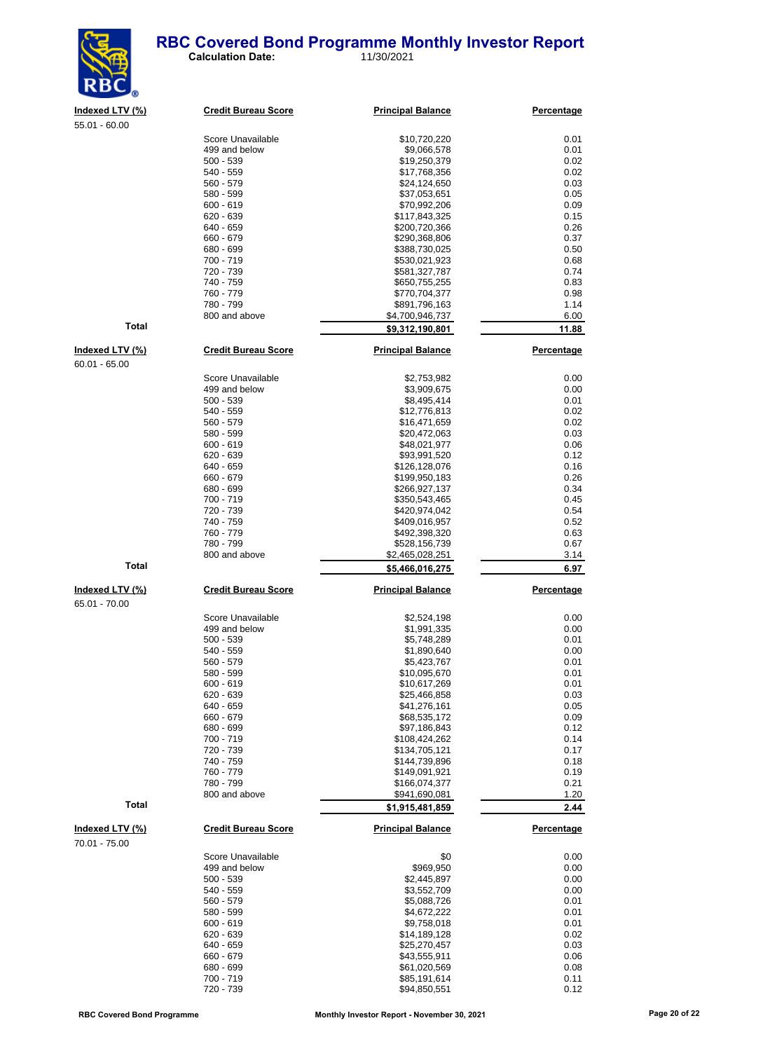

 **Calculation Date:** 11/30/2021

| Indexed LTV (%) | Credi   |
|-----------------|---------|
| $55.01 - 60.00$ |         |
|                 | Score   |
|                 | 499 a   |
|                 | $500 -$ |
|                 | 540     |
|                 |         |

| <u>Indexed LTV (%)</u>           | <b>Credit Bureau Score</b> | <b>Principal Balance</b>         | <u>Percentage</u> |
|----------------------------------|----------------------------|----------------------------------|-------------------|
| 55.01 - 60.00                    | Score Unavailable          | \$10,720,220                     | 0.01              |
|                                  | 499 and below              | \$9,066,578                      | 0.01              |
|                                  | 500 - 539                  | \$19,250,379                     | 0.02              |
|                                  | 540 - 559                  | \$17,768,356                     | 0.02              |
|                                  | 560 - 579                  | \$24,124,650                     | 0.03              |
|                                  | 580 - 599                  | \$37,053,651                     | 0.05              |
|                                  | 600 - 619                  | \$70,992,206                     | 0.09              |
|                                  | 620 - 639                  | \$117,843,325                    | 0.15              |
|                                  | 640 - 659                  | \$200,720,366                    | 0.26              |
|                                  | 660 - 679                  | \$290,368,806                    | 0.37              |
|                                  | 680 - 699                  | \$388,730,025                    | 0.50              |
|                                  | 700 - 719<br>720 - 739     | \$530,021,923<br>\$581,327,787   | 0.68<br>0.74      |
|                                  | 740 - 759                  | \$650,755,255                    | 0.83              |
|                                  | 760 - 779                  | \$770,704,377                    | 0.98              |
|                                  | 780 - 799                  | \$891,796,163                    | 1.14              |
|                                  | 800 and above              | \$4,700,946,737                  | 6.00              |
| <b>Total</b>                     |                            | \$9,312,190,801                  | 11.88             |
| <u>Indexed LTV (%)</u>           | <b>Credit Bureau Score</b> | <b>Principal Balance</b>         | <b>Percentage</b> |
| 60.01 - 65.00                    |                            |                                  |                   |
|                                  | Score Unavailable          | \$2,753,982                      | 0.00              |
|                                  | 499 and below              | \$3,909,675                      | 0.00              |
|                                  | 500 - 539                  | \$8,495,414                      | 0.01              |
|                                  | 540 - 559                  | \$12,776,813                     | 0.02              |
|                                  | 560 - 579                  | \$16,471,659                     | 0.02              |
|                                  | 580 - 599                  | \$20,472,063                     | 0.03              |
|                                  | 600 - 619                  | \$48,021,977                     | 0.06              |
|                                  | 620 - 639<br>640 - 659     | \$93,991,520<br>\$126,128,076    | 0.12<br>0.16      |
|                                  | 660 - 679                  | \$199,950,183                    | 0.26              |
|                                  | 680 - 699                  | \$266,927,137                    | 0.34              |
|                                  | 700 - 719                  | \$350,543,465                    | 0.45              |
|                                  | 720 - 739                  | \$420,974,042                    | 0.54              |
|                                  | 740 - 759                  | \$409,016,957                    | 0.52              |
|                                  | 760 - 779                  | \$492,398,320                    | 0.63              |
|                                  | 780 - 799                  | \$528,156,739                    | 0.67              |
|                                  | 800 and above              | \$2,465,028,251                  | 3.14              |
| Total                            |                            | \$5,466,016,275                  | 6.97              |
| <u>Indexed LTV (%)</u>           | <b>Credit Bureau Score</b> | <b>Principal Balance</b>         | <b>Percentage</b> |
| 65.01 - 70.00                    |                            |                                  |                   |
|                                  | Score Unavailable          | \$2,524,198                      | 0.00              |
|                                  | 499 and below              | \$1,991,335                      | 0.00              |
|                                  | 500 - 539                  | \$5,748,289                      | 0.01              |
|                                  | 540 - 559                  | \$1,890,640                      | 0.00              |
|                                  | 560 - 579<br>580 - 599     | \$5,423,767<br>\$10,095,670      | 0.01<br>0.01      |
|                                  | 600 - 619                  | \$10,617,269                     | 0.01              |
|                                  | 620 - 639                  | \$25,466,858                     | 0.03              |
|                                  | 640 - 659                  | \$41,276,161                     | 0.05              |
|                                  | 660 - 679                  | \$68,535,172                     | 0.09              |
|                                  | 680 - 699                  | \$97,186,843                     | 0.12              |
|                                  | 700 - 719                  | \$108,424,262                    | 0.14              |
|                                  | 720 - 739                  | \$134,705,121                    | 0.17              |
|                                  | 740 - 759                  | \$144,739,896                    | 0.18              |
|                                  | 760 - 779                  | \$149,091,921                    | 0.19              |
|                                  | 780 - 799                  | \$166,074,377                    | 0.21              |
| Total                            | 800 and above              | \$941,690,081<br>\$1,915,481,859 | 1.20<br>2.44      |
|                                  |                            |                                  |                   |
| Indexed LTV (%)<br>70.01 - 75.00 | <b>Credit Bureau Score</b> | <b>Principal Balance</b>         | Percentage        |
|                                  | Score Unavailable          | \$0                              | 0.00              |
|                                  | 499 and below              | \$969,950                        | 0.00              |
|                                  | 500 - 539                  | \$2,445,897                      | 0.00              |
|                                  | 540 - 559                  | \$3,552,709                      | 0.00              |
|                                  | 560 - 579                  | \$5,088,726                      | 0.01              |
|                                  | 580 - 599                  | \$4,672,222                      | 0.01              |
|                                  | 600 - 619                  | \$9,758,018                      | 0.01              |
|                                  | 620 - 639                  | \$14,189,128                     | 0.02              |
|                                  | 640 - 659<br>660 - 679     | \$25,270,457<br>\$43,555,911     | 0.03<br>0.06      |
|                                  | 680 - 699                  | \$61,020,569                     | 0.08              |
|                                  | 700 - 719                  | \$85,191,614                     | 0.11              |
|                                  | 720 - 739                  | \$94.850.551                     | 0.12              |

60.01 - 65.00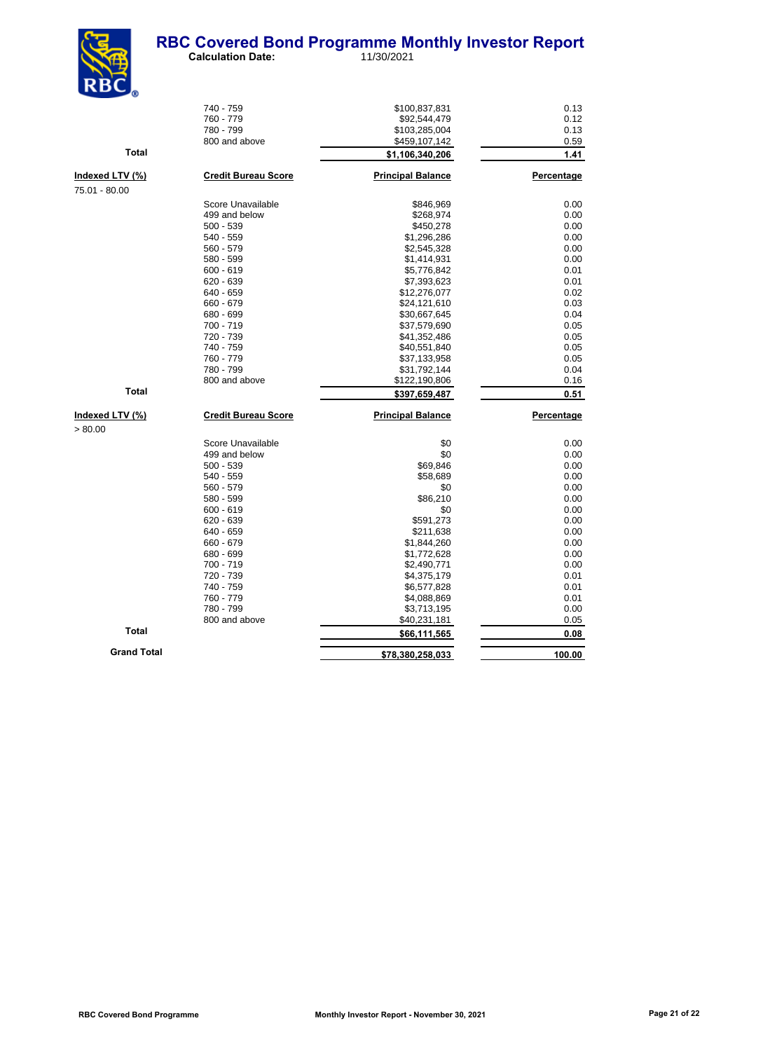

|                    | 740 - 759                  | \$100,837,831            | 0.13       |
|--------------------|----------------------------|--------------------------|------------|
|                    | 760 - 779                  | \$92,544,479             | 0.12       |
|                    | 780 - 799                  | \$103,285,004            | 0.13       |
|                    | 800 and above              | \$459,107,142            | 0.59       |
| <b>Total</b>       |                            | \$1,106,340,206          | 1.41       |
| Indexed LTV (%)    | <b>Credit Bureau Score</b> | <b>Principal Balance</b> | Percentage |
| 75.01 - 80.00      |                            |                          |            |
|                    | Score Unavailable          | \$846,969                | 0.00       |
|                    | 499 and below              | \$268,974                | 0.00       |
|                    | $500 - 539$                | \$450,278                | 0.00       |
|                    | 540 - 559                  | \$1,296,286              | 0.00       |
|                    | 560 - 579                  | \$2,545,328              | 0.00       |
|                    | 580 - 599                  | \$1,414,931              | 0.00       |
|                    | $600 - 619$                | \$5,776,842              | 0.01       |
|                    | $620 - 639$                | \$7,393,623              | 0.01       |
|                    | 640 - 659                  | \$12,276,077             | 0.02       |
|                    | 660 - 679                  | \$24,121,610             | 0.03       |
|                    | 680 - 699                  | \$30,667,645             | 0.04       |
|                    | 700 - 719                  | \$37,579,690             | 0.05       |
|                    | 720 - 739                  | \$41,352,486             | 0.05       |
|                    | 740 - 759                  | \$40,551,840             | 0.05       |
|                    | 760 - 779                  | \$37,133,958             | 0.05       |
|                    | 780 - 799                  | \$31,792,144             | 0.04       |
|                    | 800 and above              | \$122,190,806            | 0.16       |
| Total              |                            | \$397,659,487            | 0.51       |
| Indexed LTV (%)    | <b>Credit Bureau Score</b> | <b>Principal Balance</b> | Percentage |
| > 80.00            |                            |                          |            |
|                    | Score Unavailable          | \$0                      | 0.00       |
|                    | 499 and below              | \$0                      | 0.00       |
|                    | $500 - 539$                | \$69,846                 | 0.00       |
|                    | 540 - 559                  | \$58,689                 | 0.00       |
|                    | $560 - 579$                | \$0                      | 0.00       |
|                    | 580 - 599                  | \$86,210                 | 0.00       |
|                    | $600 - 619$                | \$0                      | 0.00       |
|                    | $620 - 639$                | \$591,273                | 0.00       |
|                    | 640 - 659                  | \$211,638                | 0.00       |
|                    | 660 - 679                  | \$1,844,260              | 0.00       |
|                    | 680 - 699                  | \$1,772,628              | 0.00       |
|                    | 700 - 719                  | \$2,490,771              | 0.00       |
|                    | 720 - 739                  | \$4,375,179              | 0.01       |
|                    | 740 - 759                  | \$6,577,828              | 0.01       |
|                    | 760 - 779                  | \$4,088,869              | 0.01       |
|                    | 780 - 799                  | \$3,713,195              | 0.00       |
|                    | 800 and above              | \$40,231,181             | 0.05       |
| Total              |                            | \$66,111,565             | 0.08       |
| <b>Grand Total</b> |                            | \$78,380,258,033         | 100.00     |
|                    |                            |                          |            |